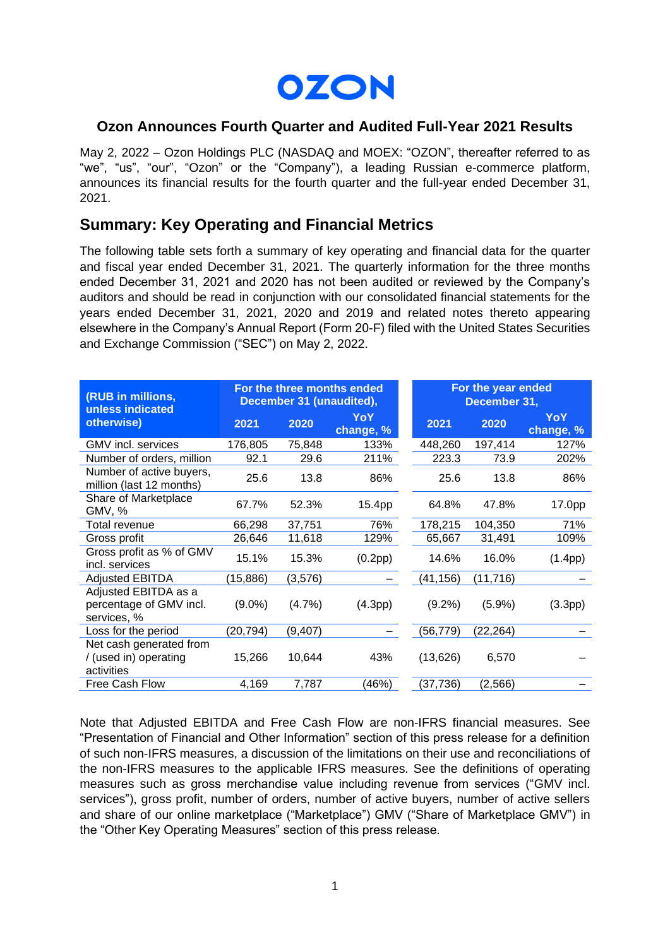

## **Ozon Announces Fourth Quarter and Audited Full-Year 2021 Results**

May 2, 2022 – Ozon Holdings PLC (NASDAQ and MOEX: "OZON", thereafter referred to as "we", "us", "our", "Ozon" or the "Company"), a leading Russian e-commerce platform, announces its financial results for the fourth quarter and the full-year ended December 31, 2021.

## **Summary: Key Operating and Financial Metrics**

The following table sets forth a summary of key operating and financial data for the quarter and fiscal year ended December 31, 2021. The quarterly information for the three months ended December 31, 2021 and 2020 has not been audited or reviewed by the Company's auditors and should be read in conjunction with our consolidated financial statements for the years ended December 31, 2021, 2020 and 2019 and related notes thereto appearing elsewhere in the Company's Annual Report (Form 20-F) filed with the United States Securities and Exchange Commission ("SEC") on May 2, 2022.

| (RUB in millions,<br>unless indicated                          | For the three months ended<br>December 31 (unaudited), |          |                  | For the year ended<br>December 31, |          |                         |
|----------------------------------------------------------------|--------------------------------------------------------|----------|------------------|------------------------------------|----------|-------------------------|
| otherwise)                                                     | 2021                                                   | 2020     | YoY<br>change, % | 2021                               | 2020     | <b>YoY</b><br>change, % |
| GMV incl. services                                             | 176,805                                                | 75,848   | 133%             | 448,260                            | 197,414  | 127%                    |
| Number of orders, million                                      | 92.1                                                   | 29.6     | 211%             | 223.3                              | 73.9     | 202%                    |
| Number of active buyers,<br>million (last 12 months)           | 25.6                                                   | 13.8     | 86%              | 25.6                               | 13.8     | 86%                     |
| Share of Marketplace<br>GMV, %                                 | 67.7%                                                  | 52.3%    | 15.4pp           | 64.8%                              | 47.8%    | 17.0pp                  |
| Total revenue                                                  | 66,298                                                 | 37,751   | 76%              | 178,215                            | 104,350  | 71%                     |
| Gross profit                                                   | 26,646                                                 | 11,618   | 129%             | 65,667                             | 31,491   | 109%                    |
| Gross profit as % of GMV<br>incl. services                     | 15.1%                                                  | 15.3%    | (0.2pp)          | 14.6%                              | 16.0%    | (1.4pp)                 |
| <b>Adjusted EBITDA</b>                                         | (15, 886)                                              | (3,576)  |                  | (41, 156)                          | (11,716) |                         |
| Adjusted EBITDA as a<br>percentage of GMV incl.<br>services, % | $(9.0\%)$                                              | (4.7%)   | (4.3pp)          | $(9.2\%)$                          | (5.9%)   | (3.3pp)                 |
| Loss for the period                                            | (20, 794)                                              | (9, 407) |                  | (56,779)                           | (22,264) |                         |
| Net cash generated from<br>/ (used in) operating<br>activities | 15,266                                                 | 10,644   | 43%              | (13,626)                           | 6,570    |                         |
| Free Cash Flow                                                 | 4,169                                                  | 7,787    | (46%)            | (37, 736)                          | (2, 566) |                         |

Note that Adjusted EBITDA and Free Cash Flow are non-IFRS financial measures. See "Presentation of Financial and Other Information" section of this press release for a definition of such non-IFRS measures, a discussion of the limitations on their use and reconciliations of the non-IFRS measures to the applicable IFRS measures. See the definitions of operating measures such as gross merchandise value including revenue from services ("GMV incl. services"), gross profit, number of orders, number of active buyers, number of active sellers and share of our online marketplace ("Marketplace") GMV ("Share of Marketplace GMV") in the "Other Key Operating Measures" section of this press release.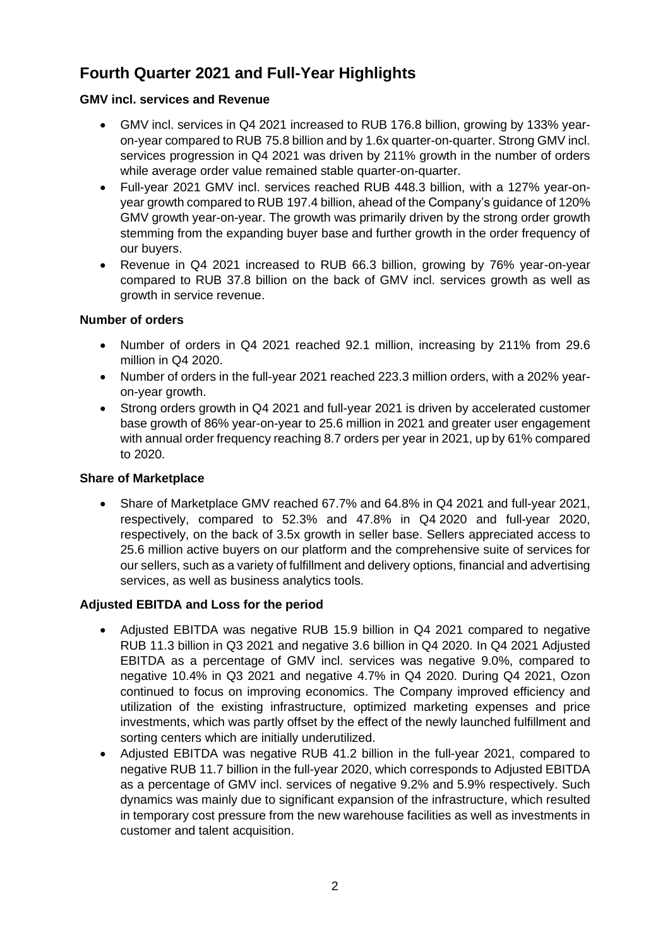# **Fourth Quarter 2021 and Full-Year Highlights**

#### **GMV incl. services and Revenue**

- GMV incl. services in Q4 2021 increased to RUB 176.8 billion, growing by 133% yearon-year compared to RUB 75.8 billion and by 1.6x quarter-on-quarter. Strong GMV incl. services progression in Q4 2021 was driven by 211% growth in the number of orders while average order value remained stable quarter-on-quarter.
- Full-year 2021 GMV incl. services reached RUB 448.3 billion, with a 127% year-onyear growth compared to RUB 197.4 billion, ahead of the Company's guidance of 120% GMV growth year-on-year. The growth was primarily driven by the strong order growth stemming from the expanding buyer base and further growth in the order frequency of our buyers.
- Revenue in Q4 2021 increased to RUB 66.3 billion, growing by 76% year-on-year compared to RUB 37.8 billion on the back of GMV incl. services growth as well as growth in service revenue.

#### **Number of orders**

- Number of orders in Q4 2021 reached 92.1 million, increasing by 211% from 29.6 million in Q4 2020.
- Number of orders in the full-year 2021 reached 223.3 million orders, with a 202% yearon-year growth.
- Strong orders growth in Q4 2021 and full-year 2021 is driven by accelerated customer base growth of 86% year-on-year to 25.6 million in 2021 and greater user engagement with annual order frequency reaching 8.7 orders per year in 2021, up by 61% compared to 2020.

#### **Share of Marketplace**

• Share of Marketplace GMV reached 67.7% and 64.8% in Q4 2021 and full-year 2021, respectively, compared to 52.3% and 47.8% in Q4 2020 and full-year 2020, respectively, on the back of 3.5x growth in seller base. Sellers appreciated access to 25.6 million active buyers on our platform and the comprehensive suite of services for our sellers, such as a variety of fulfillment and delivery options, financial and advertising services, as well as business analytics tools.

### **Adjusted EBITDA and Loss for the period**

- Adjusted EBITDA was negative RUB 15.9 billion in Q4 2021 compared to negative RUB 11.3 billion in Q3 2021 and negative 3.6 billion in Q4 2020. In Q4 2021 Adjusted EBITDA as a percentage of GMV incl. services was negative 9.0%, compared to negative 10.4% in Q3 2021 and negative 4.7% in Q4 2020. During Q4 2021, Ozon continued to focus on improving economics. The Company improved efficiency and utilization of the existing infrastructure, optimized marketing expenses and price investments, which was partly offset by the effect of the newly launched fulfillment and sorting centers which are initially underutilized.
- Adjusted EBITDA was negative RUB 41.2 billion in the full-year 2021, compared to negative RUB 11.7 billion in the full-year 2020, which corresponds to Adjusted EBITDA as a percentage of GMV incl. services of negative 9.2% and 5.9% respectively. Such dynamics was mainly due to significant expansion of the infrastructure, which resulted in temporary cost pressure from the new warehouse facilities as well as investments in customer and talent acquisition.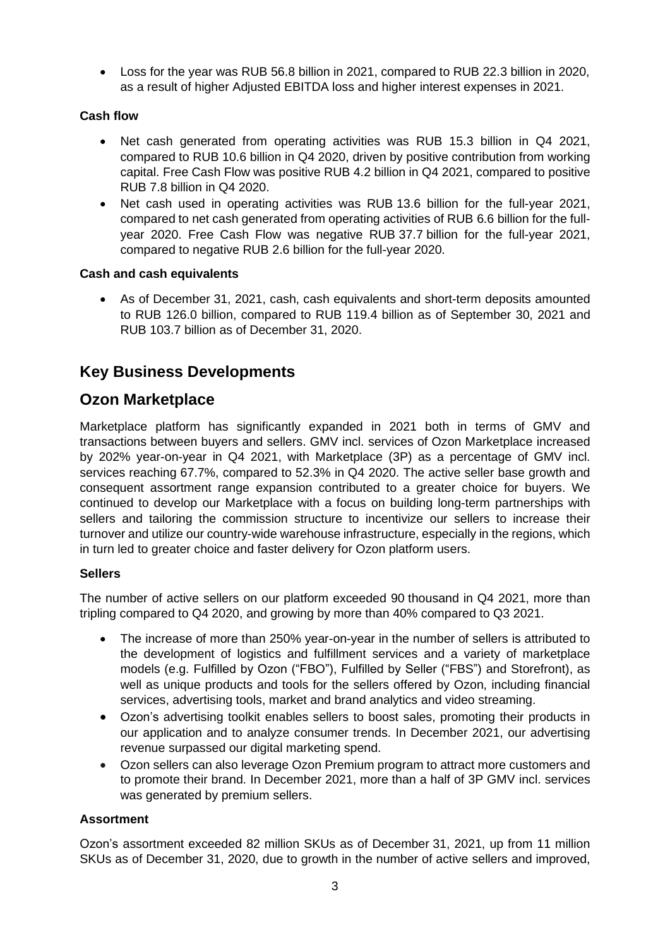• Loss for the year was RUB 56.8 billion in 2021, compared to RUB 22.3 billion in 2020, as a result of higher Adjusted EBITDA loss and higher interest expenses in 2021.

### **Cash flow**

- Net cash generated from operating activities was RUB 15.3 billion in Q4 2021, compared to RUB 10.6 billion in Q4 2020, driven by positive contribution from working capital. Free Cash Flow was positive RUB 4.2 billion in Q4 2021, compared to positive RUB 7.8 billion in Q4 2020.
- Net cash used in operating activities was RUB 13.6 billion for the full-year 2021, compared to net cash generated from operating activities of RUB 6.6 billion for the fullyear 2020. Free Cash Flow was negative RUB 37.7 billion for the full-year 2021, compared to negative RUB 2.6 billion for the full-year 2020.

### **Cash and cash equivalents**

• As of December 31, 2021, cash, cash equivalents and short-term deposits amounted to RUB 126.0 billion, compared to RUB 119.4 billion as of September 30, 2021 and RUB 103.7 billion as of December 31, 2020.

## **Key Business Developments**

## **Ozon Marketplace**

Marketplace platform has significantly expanded in 2021 both in terms of GMV and transactions between buyers and sellers. GMV incl. services of Ozon Marketplace increased by 202% year-on-year in Q4 2021, with Marketplace (3P) as a percentage of GMV incl. services reaching 67.7%, compared to 52.3% in Q4 2020. The active seller base growth and consequent assortment range expansion contributed to a greater choice for buyers. We continued to develop our Marketplace with a focus on building long-term partnerships with sellers and tailoring the commission structure to incentivize our sellers to increase their turnover and utilize our country-wide warehouse infrastructure, especially in the regions, which in turn led to greater choice and faster delivery for Ozon platform users.

### **Sellers**

The number of active sellers on our platform exceeded 90 thousand in Q4 2021, more than tripling compared to Q4 2020, and growing by more than 40% compared to Q3 2021.

- The increase of more than 250% year-on-year in the number of sellers is attributed to the development of logistics and fulfillment services and a variety of marketplace models (e.g. Fulfilled by Ozon ("FBO"), Fulfilled by Seller ("FBS") and Storefront), as well as unique products and tools for the sellers offered by Ozon, including financial services, advertising tools, market and brand analytics and video streaming.
- Ozon's advertising toolkit enables sellers to boost sales, promoting their products in our application and to analyze consumer trends. In December 2021, our advertising revenue surpassed our digital marketing spend.
- Ozon sellers can also leverage Ozon Premium program to attract more customers and to promote their brand. In December 2021, more than a half of 3P GMV incl. services was generated by premium sellers.

## **Assortment**

Ozon's assortment exceeded 82 million SKUs as of December 31, 2021, up from 11 million SKUs as of December 31, 2020, due to growth in the number of active sellers and improved,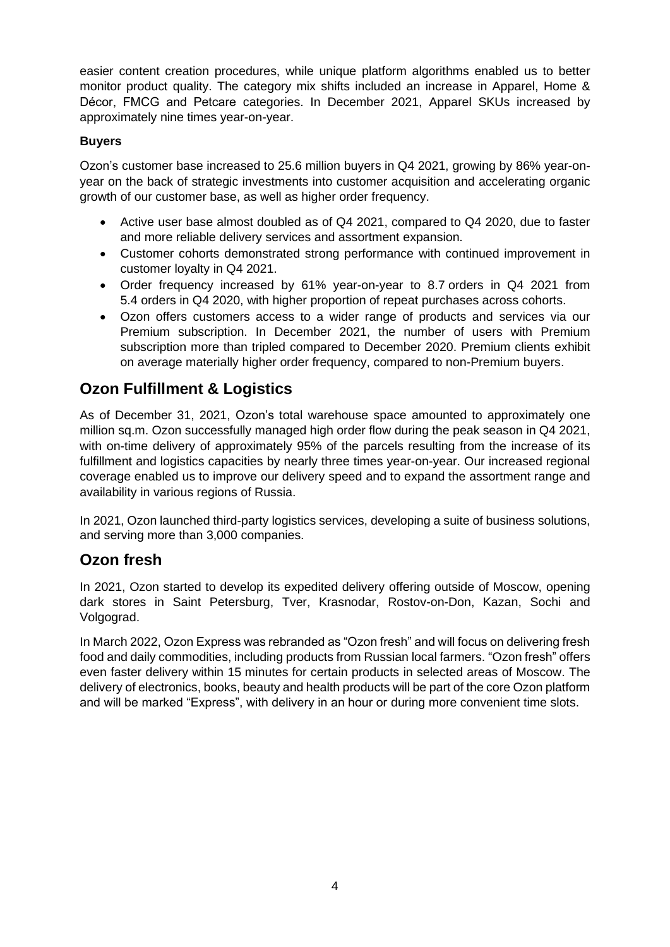easier content creation procedures, while unique platform algorithms enabled us to better monitor product quality. The category mix shifts included an increase in Apparel, Home & Décor, FMCG and Petcare categories. In December 2021, Apparel SKUs increased by approximately nine times year-on-year.

### **Buyers**

Ozon's customer base increased to 25.6 million buyers in Q4 2021, growing by 86% year-onyear on the back of strategic investments into customer acquisition and accelerating organic growth of our customer base, as well as higher order frequency.

- Active user base almost doubled as of Q4 2021, compared to Q4 2020, due to faster and more reliable delivery services and assortment expansion.
- Customer cohorts demonstrated strong performance with continued improvement in customer loyalty in Q4 2021.
- Order frequency increased by 61% year-on-year to 8.7 orders in Q4 2021 from 5.4 orders in Q4 2020, with higher proportion of repeat purchases across cohorts.
- Ozon offers customers access to a wider range of products and services via our Premium subscription. In December 2021, the number of users with Premium subscription more than tripled compared to December 2020. Premium clients exhibit on average materially higher order frequency, compared to non-Premium buyers.

## **Ozon Fulfillment & Logistics**

As of December 31, 2021, Ozon's total warehouse space amounted to approximately one million sq.m. Ozon successfully managed high order flow during the peak season in Q4 2021, with on-time delivery of approximately 95% of the parcels resulting from the increase of its fulfillment and logistics capacities by nearly three times year-on-year. Our increased regional coverage enabled us to improve our delivery speed and to expand the assortment range and availability in various regions of Russia.

In 2021, Ozon launched third-party logistics services, developing a suite of business solutions, and serving more than 3,000 companies.

## **Ozon fresh**

In 2021, Ozon started to develop its expedited delivery offering outside of Moscow, opening dark stores in Saint Petersburg, Tver, Krasnodar, Rostov-on-Don, Kazan, Sochi and Volgograd.

In March 2022, Ozon Express was rebranded as "Ozon fresh" and will focus on delivering fresh food and daily commodities, including products from Russian local farmers. "Ozon fresh" offers even faster delivery within 15 minutes for certain products in selected areas of Moscow. The delivery of electronics, books, beauty and health products will be part of the core Ozon platform and will be marked "Express", with delivery in an hour or during more convenient time slots.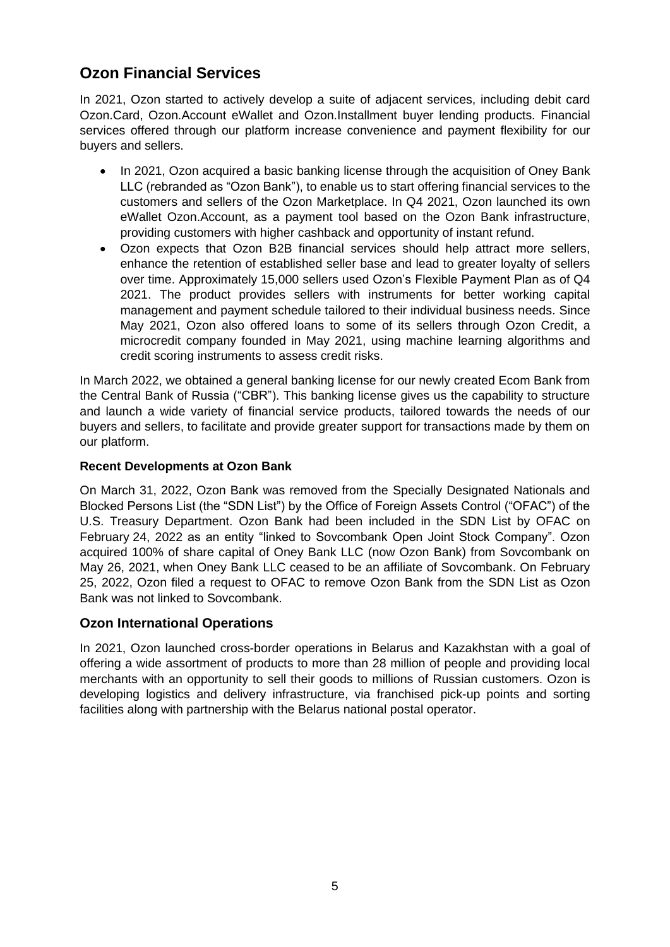# **Ozon Financial Services**

In 2021, Ozon started to actively develop a suite of adjacent services, including debit card Ozon.Card, Ozon.Account eWallet and Ozon.Installment buyer lending products. Financial services offered through our platform increase convenience and payment flexibility for our buyers and sellers.

- In 2021, Ozon acquired a basic banking license through the acquisition of Oney Bank LLC (rebranded as "Ozon Bank"), to enable us to start offering financial services to the customers and sellers of the Ozon Marketplace. In Q4 2021, Ozon launched its own eWallet Ozon.Account, as a payment tool based on the Ozon Bank infrastructure, providing customers with higher cashback and opportunity of instant refund.
- Ozon expects that Ozon B2B financial services should help attract more sellers, enhance the retention of established seller base and lead to greater loyalty of sellers over time. Approximately 15,000 sellers used Ozon's Flexible Payment Plan as of Q4 2021. The product provides sellers with instruments for better working capital management and payment schedule tailored to their individual business needs. Since May 2021, Ozon also offered loans to some of its sellers through Ozon Credit, a microcredit company founded in May 2021, using machine learning algorithms and credit scoring instruments to assess credit risks.

In March 2022, we obtained a general banking license for our newly created Ecom Bank from the Central Bank of Russia ("CBR"). This banking license gives us the capability to structure and launch a wide variety of financial service products, tailored towards the needs of our buyers and sellers, to facilitate and provide greater support for transactions made by them on our platform.

### **Recent Developments at Ozon Bank**

On March 31, 2022, Ozon Bank was removed from the Specially Designated Nationals and Blocked Persons List (the "SDN List") by the Office of Foreign Assets Control ("OFAC") of the U.S. Treasury Department. Ozon Bank had been included in the SDN List by OFAC on February 24, 2022 as an entity "linked to Sovcombank Open Joint Stock Company". Ozon acquired 100% of share capital of Oney Bank LLC (now Ozon Bank) from Sovcombank on May 26, 2021, when Oney Bank LLC ceased to be an affiliate of Sovcombank. On February 25, 2022, Ozon filed a request to OFAC to remove Ozon Bank from the SDN List as Ozon Bank was not linked to Sovcombank.

## **Ozon International Operations**

In 2021, Ozon launched cross-border operations in Belarus and Kazakhstan with a goal of offering a wide assortment of products to more than 28 million of people and providing local merchants with an opportunity to sell their goods to millions of Russian customers. Ozon is developing logistics and delivery infrastructure, via franchised pick-up points and sorting facilities along with partnership with the Belarus national postal operator.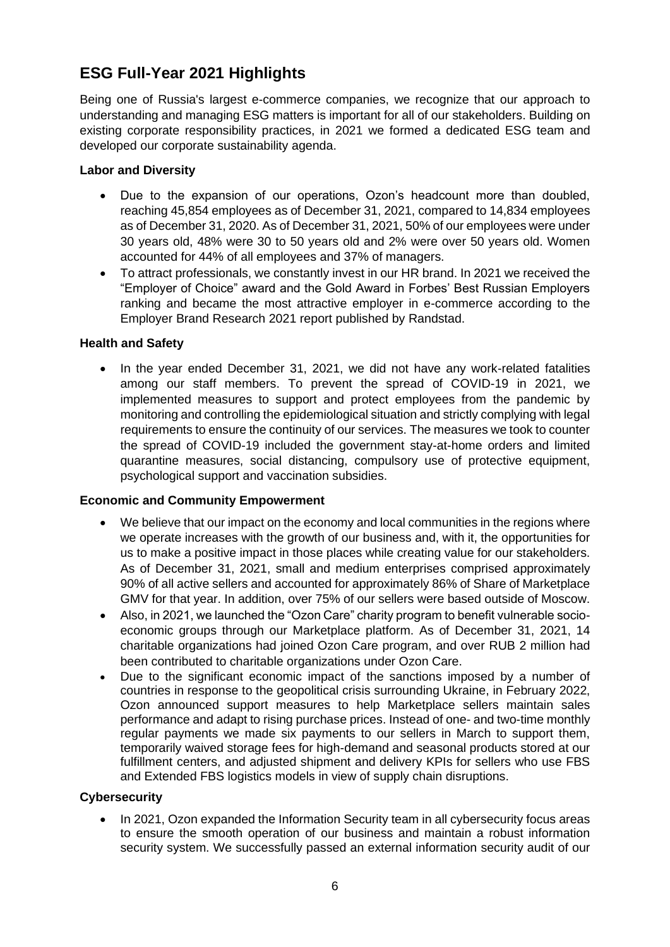# **ESG Full-Year 2021 Highlights**

Being one of Russia's largest e-commerce companies, we recognize that our approach to understanding and managing ESG matters is important for all of our stakeholders. Building on existing corporate responsibility practices, in 2021 we formed a dedicated ESG team and developed our corporate sustainability agenda.

#### **Labor and Diversity**

- Due to the expansion of our operations, Ozon's headcount more than doubled, reaching 45,854 employees as of December 31, 2021, compared to 14,834 employees as of December 31, 2020. As of December 31, 2021, 50% of our employees were under 30 years old, 48% were 30 to 50 years old and 2% were over 50 years old. Women accounted for 44% of all employees and 37% of managers.
- To attract professionals, we constantly invest in our HR brand. In 2021 we received the "Employer of Choice" award and the Gold Award in Forbes' Best Russian Employers ranking and became the most attractive employer in e-commerce according to the Employer Brand Research 2021 report published by Randstad.

### **Health and Safety**

• In the year ended December 31, 2021, we did not have any work-related fatalities among our staff members. To prevent the spread of COVID-19 in 2021, we implemented measures to support and protect employees from the pandemic by monitoring and controlling the epidemiological situation and strictly complying with legal requirements to ensure the continuity of our services. The measures we took to counter the spread of COVID-19 included the government stay-at-home orders and limited quarantine measures, social distancing, compulsory use of protective equipment, psychological support and vaccination subsidies.

#### **Economic and Community Empowerment**

- We believe that our impact on the economy and local communities in the regions where we operate increases with the growth of our business and, with it, the opportunities for us to make a positive impact in those places while creating value for our stakeholders. As of December 31, 2021, small and medium enterprises comprised approximately 90% of all active sellers and accounted for approximately 86% of Share of Marketplace GMV for that year. In addition, over 75% of our sellers were based outside of Moscow.
- Also, in 2021, we launched the "Ozon Care" charity program to benefit vulnerable socioeconomic groups through our Marketplace platform. As of December 31, 2021, 14 charitable organizations had joined Ozon Care program, and over RUB 2 million had been contributed to charitable organizations under Ozon Care.
- Due to the significant economic impact of the sanctions imposed by a number of countries in response to the geopolitical crisis surrounding Ukraine, in February 2022, Ozon announced support measures to help Marketplace sellers maintain sales performance and adapt to rising purchase prices. Instead of one- and two-time monthly regular payments we made six payments to our sellers in March to support them, temporarily waived storage fees for high-demand and seasonal products stored at our fulfillment centers, and adjusted shipment and delivery KPIs for sellers who use FBS and Extended FBS logistics models in view of supply chain disruptions.

### **Cybersecurity**

• In 2021, Ozon expanded the Information Security team in all cybersecurity focus areas to ensure the smooth operation of our business and maintain a robust information security system. We successfully passed an external information security audit of our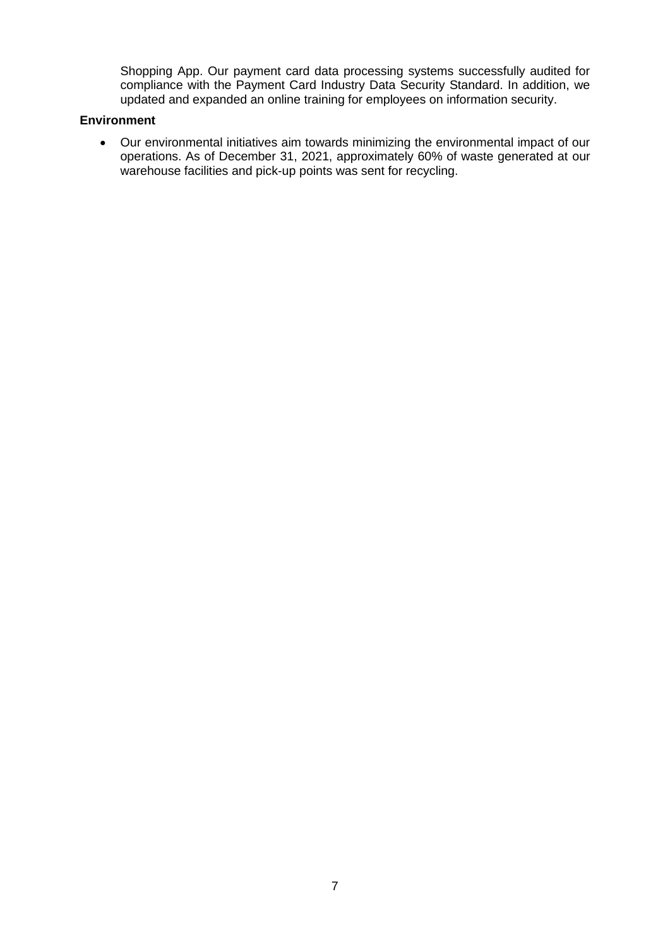Shopping App. Our payment card data processing systems successfully audited for compliance with the Payment Card Industry Data Security Standard. In addition, we updated and expanded an online training for employees on information security.

#### **Environment**

• Our environmental initiatives aim towards minimizing the environmental impact of our operations. As of December 31, 2021, approximately 60% of waste generated at our warehouse facilities and pick-up points was sent for recycling.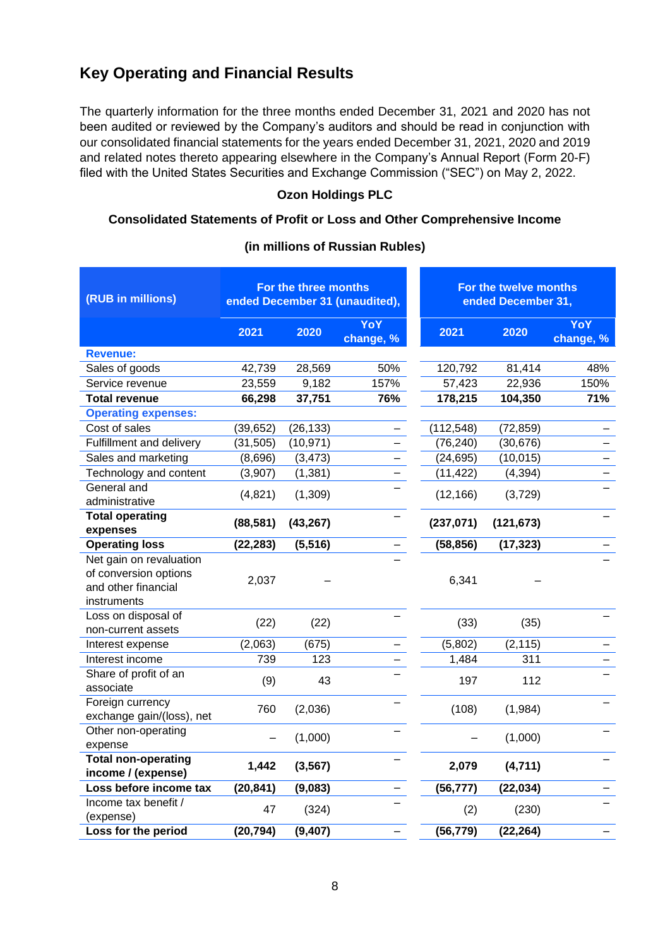## **Key Operating and Financial Results**

The quarterly information for the three months ended December 31, 2021 and 2020 has not been audited or reviewed by the Company's auditors and should be read in conjunction with our consolidated financial statements for the years ended December 31, 2021, 2020 and 2019 and related notes thereto appearing elsewhere in the Company's Annual Report (Form 20-F) filed with the United States Securities and Exchange Commission ("SEC") on May 2, 2022.

#### **Ozon Holdings PLC**

#### **Consolidated Statements of Profit or Loss and Other Comprehensive Income**

| (RUB in millions)                                                                      | For the three months<br>ended December 31 (unaudited), |           |                  | For the twelve months<br>ended December 31, |            |                         |
|----------------------------------------------------------------------------------------|--------------------------------------------------------|-----------|------------------|---------------------------------------------|------------|-------------------------|
|                                                                                        | 2021                                                   | 2020      | YoY<br>change, % | 2021                                        | 2020       | <b>YoY</b><br>change, % |
| <b>Revenue:</b>                                                                        |                                                        |           |                  |                                             |            |                         |
| Sales of goods                                                                         | 42,739                                                 | 28,569    | 50%              | 120,792                                     | 81,414     | 48%                     |
| Service revenue                                                                        | 23,559                                                 | 9,182     | 157%             | 57,423                                      | 22,936     | 150%                    |
| <b>Total revenue</b>                                                                   | 66,298                                                 | 37,751    | 76%              | 178,215                                     | 104,350    | 71%                     |
| <b>Operating expenses:</b>                                                             |                                                        |           |                  |                                             |            |                         |
| Cost of sales                                                                          | (39, 652)                                              | (26, 133) |                  | (112, 548)                                  | (72, 859)  |                         |
| Fulfillment and delivery                                                               | (31, 505)                                              | (10, 971) |                  | (76, 240)                                   | (30, 676)  |                         |
| Sales and marketing                                                                    | (8,696)                                                | (3, 473)  |                  | (24, 695)                                   | (10, 015)  |                         |
| Technology and content                                                                 | (3,907)                                                | (1, 381)  |                  | (11, 422)                                   | (4, 394)   |                         |
| General and<br>administrative                                                          | (4,821)                                                | (1,309)   |                  | (12, 166)                                   | (3,729)    |                         |
| <b>Total operating</b><br>expenses                                                     | (88, 581)                                              | (43, 267) |                  | (237, 071)                                  | (121, 673) |                         |
| <b>Operating loss</b>                                                                  | (22, 283)                                              | (5, 516)  |                  | (58, 856)                                   | (17, 323)  |                         |
| Net gain on revaluation<br>of conversion options<br>and other financial<br>instruments | 2,037                                                  |           |                  | 6,341                                       |            |                         |
| Loss on disposal of<br>non-current assets                                              | (22)                                                   | (22)      |                  | (33)                                        | (35)       |                         |
| Interest expense                                                                       | (2,063)                                                | (675)     |                  | (5,802)                                     | (2, 115)   |                         |
| Interest income                                                                        | 739                                                    | 123       |                  | 1,484                                       | 311        |                         |
| Share of profit of an<br>associate                                                     | (9)                                                    | 43        |                  | 197                                         | 112        |                         |
| Foreign currency<br>exchange gain/(loss), net                                          | 760                                                    | (2,036)   |                  | (108)                                       | (1,984)    |                         |
| Other non-operating<br>expense                                                         |                                                        | (1,000)   |                  |                                             | (1,000)    |                         |
| <b>Total non-operating</b><br>income / (expense)                                       | 1,442                                                  | (3, 567)  |                  | 2,079                                       | (4, 711)   |                         |
| Loss before income tax                                                                 | (20, 841)                                              | (9,083)   |                  | (56, 777)                                   | (22, 034)  |                         |
| Income tax benefit /<br>(expense)                                                      | 47                                                     | (324)     |                  | (2)                                         | (230)      |                         |
| Loss for the period                                                                    | (20, 794)                                              | (9, 407)  |                  | (56, 779)                                   | (22, 264)  |                         |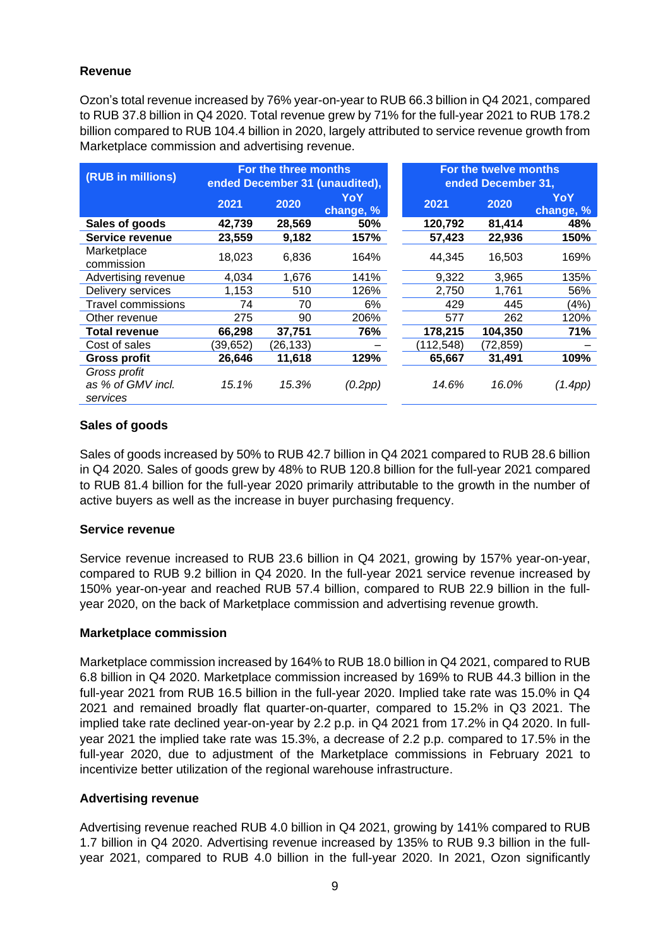#### **Revenue**

Ozon's total revenue increased by 76% year-on-year to RUB 66.3 billion in Q4 2021, compared to RUB 37.8 billion in Q4 2020. Total revenue grew by 71% for the full-year 2021 to RUB 178.2 billion compared to RUB 104.4 billion in 2020, largely attributed to service revenue growth from Marketplace commission and advertising revenue.

| (RUB in millions)                             | For the three months<br>ended December 31 (unaudited), |           |                  | For the twelve months<br>ended December 31, |          |                  |
|-----------------------------------------------|--------------------------------------------------------|-----------|------------------|---------------------------------------------|----------|------------------|
|                                               | 2021                                                   | 2020      | YoY<br>change, % | 2021                                        | 2020     | YoY<br>change, % |
| Sales of goods                                | 42,739                                                 | 28,569    | 50%              | 120,792                                     | 81,414   | 48%              |
| Service revenue                               | 23,559                                                 | 9,182     | 157%             | 57,423                                      | 22,936   | 150%             |
| Marketplace<br>commission                     | 18,023                                                 | 6,836     | 164%             | 44.345                                      | 16.503   | 169%             |
| Advertising revenue                           | 4,034                                                  | 1,676     | 141%             | 9,322                                       | 3,965    | 135%             |
| Delivery services                             | 1.153                                                  | 510       | 126%             | 2,750                                       | 1.761    | 56%              |
| <b>Travel commissions</b>                     | 74                                                     | 70        | 6%               | 429                                         | 445      | (4%)             |
| Other revenue                                 | 275                                                    | 90        | 206%             | 577                                         | 262      | 120%             |
| <b>Total revenue</b>                          | 66,298                                                 | 37,751    | 76%              | 178,215                                     | 104,350  | 71%              |
| Cost of sales                                 | (39, 652)                                              | (26, 133) |                  | (112, 548)                                  | (72,859) |                  |
| <b>Gross profit</b>                           | 26,646                                                 | 11,618    | 129%             | 65,667                                      | 31,491   | 109%             |
| Gross profit<br>as % of GMV incl.<br>services | 15.1%                                                  | 15.3%     | (0.2pp)          | 14.6%                                       | 16.0%    | (1.4pp)          |

#### **Sales of goods**

Sales of goods increased by 50% to RUB 42.7 billion in Q4 2021 compared to RUB 28.6 billion in Q4 2020. Sales of goods grew by 48% to RUB 120.8 billion for the full-year 2021 compared to RUB 81.4 billion for the full-year 2020 primarily attributable to the growth in the number of active buyers as well as the increase in buyer purchasing frequency.

#### **Service revenue**

Service revenue increased to RUB 23.6 billion in Q4 2021, growing by 157% year-on-year, compared to RUB 9.2 billion in Q4 2020. In the full-year 2021 service revenue increased by 150% year-on-year and reached RUB 57.4 billion, compared to RUB 22.9 billion in the fullyear 2020, on the back of Marketplace commission and advertising revenue growth.

#### **Marketplace commission**

Marketplace commission increased by 164% to RUB 18.0 billion in Q4 2021, compared to RUB 6.8 billion in Q4 2020. Marketplace commission increased by 169% to RUB 44.3 billion in the full-year 2021 from RUB 16.5 billion in the full-year 2020. Implied take rate was 15.0% in Q4 2021 and remained broadly flat quarter-on-quarter, compared to 15.2% in Q3 2021. The implied take rate declined year-on-year by 2.2 p.p. in Q4 2021 from 17.2% in Q4 2020. In fullyear 2021 the implied take rate was 15.3%, a decrease of 2.2 p.p. compared to 17.5% in the full-year 2020, due to adjustment of the Marketplace commissions in February 2021 to incentivize better utilization of the regional warehouse infrastructure.

#### **Advertising revenue**

Advertising revenue reached RUB 4.0 billion in Q4 2021, growing by 141% compared to RUB 1.7 billion in Q4 2020. Advertising revenue increased by 135% to RUB 9.3 billion in the fullyear 2021, compared to RUB 4.0 billion in the full-year 2020. In 2021, Ozon significantly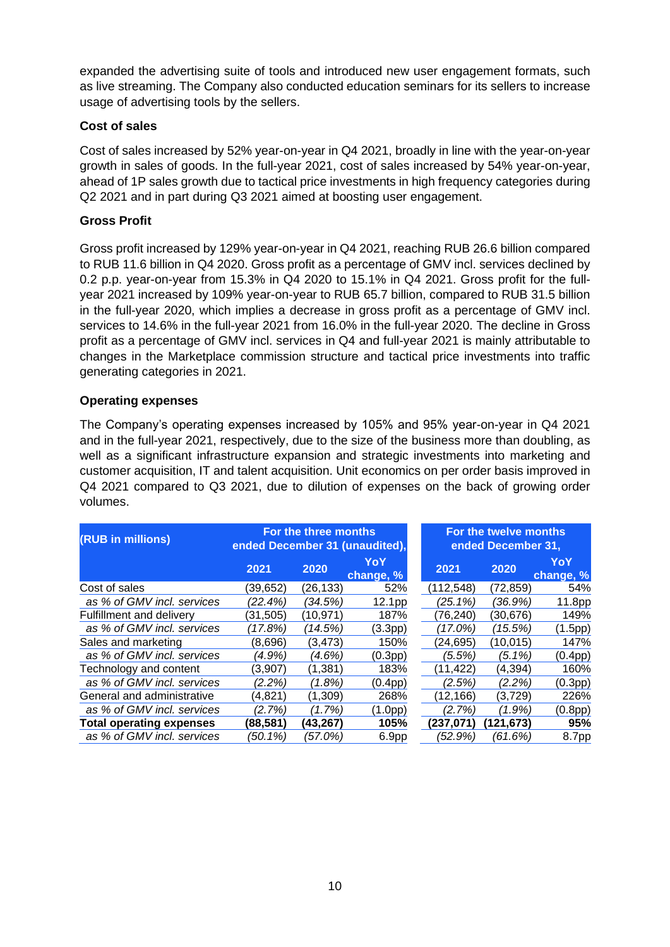expanded the advertising suite of tools and introduced new user engagement formats, such as live streaming. The Company also conducted education seminars for its sellers to increase usage of advertising tools by the sellers.

#### **Cost of sales**

Cost of sales increased by 52% year-on-year in Q4 2021, broadly in line with the year-on-year growth in sales of goods. In the full-year 2021, cost of sales increased by 54% year-on-year, ahead of 1P sales growth due to tactical price investments in high frequency categories during Q2 2021 and in part during Q3 2021 aimed at boosting user engagement.

#### **Gross Profit**

Gross profit increased by 129% year-on-year in Q4 2021, reaching RUB 26.6 billion compared to RUB 11.6 billion in Q4 2020. Gross profit as a percentage of GMV incl. services declined by 0.2 p.p. year-on-year from 15.3% in Q4 2020 to 15.1% in Q4 2021. Gross profit for the fullyear 2021 increased by 109% year-on-year to RUB 65.7 billion, compared to RUB 31.5 billion in the full-year 2020, which implies a decrease in gross profit as a percentage of GMV incl. services to 14.6% in the full-year 2021 from 16.0% in the full-year 2020. The decline in Gross profit as a percentage of GMV incl. services in Q4 and full-year 2021 is mainly attributable to changes in the Marketplace commission structure and tactical price investments into traffic generating categories in 2021.

#### **Operating expenses**

The Company's operating expenses increased by 105% and 95% year-on-year in Q4 2021 and in the full-year 2021, respectively, due to the size of the business more than doubling, as well as a significant infrastructure expansion and strategic investments into marketing and customer acquisition, IT and talent acquisition. Unit economics on per order basis improved in Q4 2021 compared to Q3 2021, due to dilution of expenses on the back of growing order volumes.

| (RUB in millions)               | For the three months<br>ended December 31 (unaudited), |          |                      |            | For the twelve months<br>ended December 31, |                      |
|---------------------------------|--------------------------------------------------------|----------|----------------------|------------|---------------------------------------------|----------------------|
|                                 | 2021                                                   | 2020     | YoY<br>change, %     | 2021       | 2020                                        | YoY<br>change, %     |
| Cost of sales                   | (39,652)                                               | (26,133) | 52%                  | (112, 548) | (72,859)                                    | 54%                  |
| as % of GMV incl. services      | (22.4%)                                                | (34.5%)  | 12.1pp               | $(25.1\%)$ | (36.9%)                                     | 11.8pp               |
| <b>Fulfillment and delivery</b> | (31,505)                                               | (10,971) | 187%                 | (76, 240)  | (30,676)                                    | 149%                 |
| as % of GMV incl. services      | (17.8%)                                                | (14.5%)  | (3.3 <sub>pp</sub> ) | (17.0%)    | (15.5%)                                     | (1.5pp)              |
| Sales and marketing             | (8,696)                                                | (3,473)  | 150%                 | (24, 695)  | (10,015)                                    | 147%                 |
| as % of GMV incl. services      | (4.9%)                                                 | (4.6%)   | (0.3 <sub>pp</sub> ) | (5.5%)     | (5.1%)                                      | (0.4pp)              |
| Technology and content          | (3,907)                                                | (1, 381) | 183%                 | (11, 422)  | (4,394)                                     | 160%                 |
| as % of GMV incl. services      | (2.2%)                                                 | (1.8%)   | (0.4pp)              | (2.5%)     | (2.2%)                                      | (0.3 <sub>pp</sub> ) |
| General and administrative      | (4.821)                                                | (1.309)  | 268%                 | (12, 166)  | (3,729)                                     | 226%                 |
| as % of GMV incl. services      | (2.7%)                                                 | (1.7%)   | (1.0pp)              | (2.7%)     | (1.9%)                                      | (0.8pp)              |
| <b>Total operating expenses</b> | (88, 581)                                              | (43,267) | 105%                 | (237, 071) | (121,673)                                   | 95%                  |
| as % of GMV incl. services      | (50.1%)                                                | (57.0%)  | 6.9pp                | (52.9%)    | (61.6%)                                     | 8.7pp                |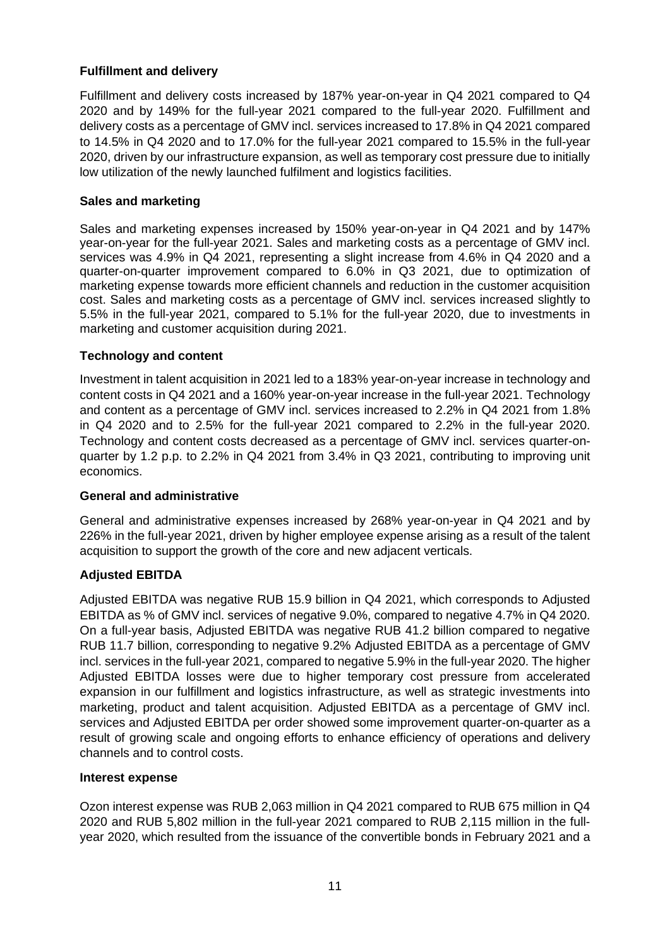#### **Fulfillment and delivery**

Fulfillment and delivery costs increased by 187% year-on-year in Q4 2021 compared to Q4 2020 and by 149% for the full-year 2021 compared to the full-year 2020. Fulfillment and delivery costs as a percentage of GMV incl. services increased to 17.8% in Q4 2021 compared to 14.5% in Q4 2020 and to 17.0% for the full-year 2021 compared to 15.5% in the full-year 2020, driven by our infrastructure expansion, as well as temporary cost pressure due to initially low utilization of the newly launched fulfilment and logistics facilities.

#### **Sales and marketing**

Sales and marketing expenses increased by 150% year-on-year in Q4 2021 and by 147% year-on-year for the full-year 2021. Sales and marketing costs as a percentage of GMV incl. services was 4.9% in Q4 2021, representing a slight increase from 4.6% in Q4 2020 and a quarter-on-quarter improvement compared to 6.0% in Q3 2021, due to optimization of marketing expense towards more efficient channels and reduction in the customer acquisition cost. Sales and marketing costs as a percentage of GMV incl. services increased slightly to 5.5% in the full-year 2021, compared to 5.1% for the full-year 2020, due to investments in marketing and customer acquisition during 2021.

#### **Technology and content**

Investment in talent acquisition in 2021 led to a 183% year-on-year increase in technology and content costs in Q4 2021 and a 160% year-on-year increase in the full-year 2021. Technology and content as a percentage of GMV incl. services increased to 2.2% in Q4 2021 from 1.8% in Q4 2020 and to 2.5% for the full-year 2021 compared to 2.2% in the full-year 2020. Technology and content costs decreased as a percentage of GMV incl. services quarter-onquarter by 1.2 p.p. to 2.2% in Q4 2021 from 3.4% in Q3 2021, contributing to improving unit economics.

#### **General and administrative**

General and administrative expenses increased by 268% year-on-year in Q4 2021 and by 226% in the full-year 2021, driven by higher employee expense arising as a result of the talent acquisition to support the growth of the core and new adjacent verticals.

### **Adjusted EBITDA**

Adjusted EBITDA was negative RUB 15.9 billion in Q4 2021, which corresponds to Adjusted EBITDA as % of GMV incl. services of negative 9.0%, compared to negative 4.7% in Q4 2020. On a full-year basis, Adjusted EBITDA was negative RUB 41.2 billion compared to negative RUB 11.7 billion, corresponding to negative 9.2% Adjusted EBITDA as a percentage of GMV incl. services in the full-year 2021, compared to negative 5.9% in the full-year 2020. The higher Adjusted EBITDA losses were due to higher temporary cost pressure from accelerated expansion in our fulfillment and logistics infrastructure, as well as strategic investments into marketing, product and talent acquisition. Adjusted EBITDA as a percentage of GMV incl. services and Adjusted EBITDA per order showed some improvement quarter-on-quarter as a result of growing scale and ongoing efforts to enhance efficiency of operations and delivery channels and to control costs.

#### **Interest expense**

Ozon interest expense was RUB 2,063 million in Q4 2021 compared to RUB 675 million in Q4 2020 and RUB 5,802 million in the full-year 2021 compared to RUB 2,115 million in the fullyear 2020, which resulted from the issuance of the convertible bonds in February 2021 and a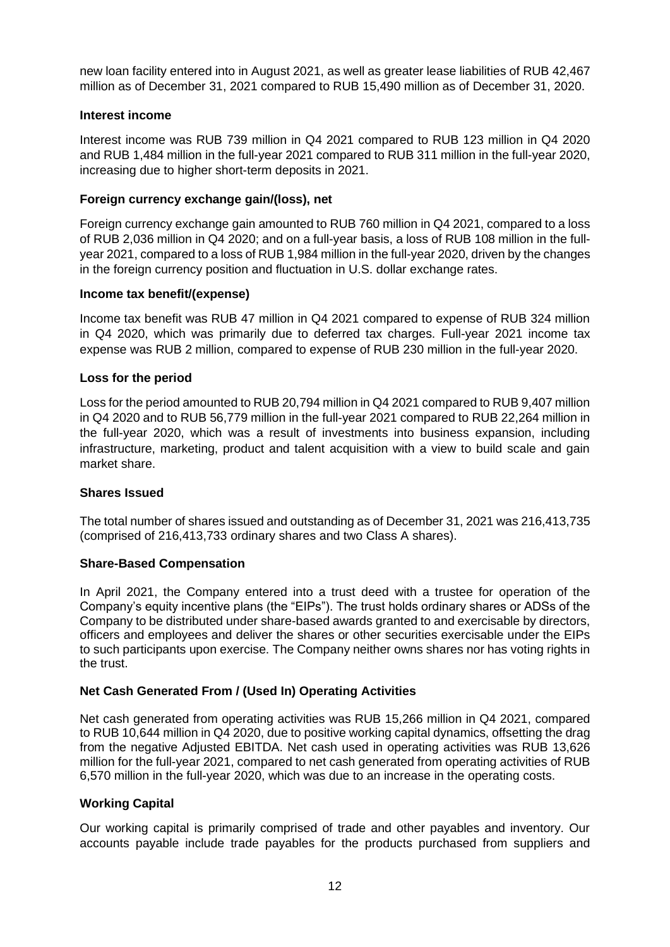new loan facility entered into in August 2021, as well as greater lease liabilities of RUB 42,467 million as of December 31, 2021 compared to RUB 15,490 million as of December 31, 2020.

#### **Interest income**

Interest income was RUB 739 million in Q4 2021 compared to RUB 123 million in Q4 2020 and RUB 1,484 million in the full-year 2021 compared to RUB 311 million in the full-year 2020, increasing due to higher short-term deposits in 2021.

#### **Foreign currency exchange gain/(loss), net**

Foreign currency exchange gain amounted to RUB 760 million in Q4 2021, compared to a loss of RUB 2,036 million in Q4 2020; and on a full-year basis, a loss of RUB 108 million in the fullyear 2021, compared to a loss of RUB 1,984 million in the full-year 2020, driven by the changes in the foreign currency position and fluctuation in U.S. dollar exchange rates.

#### **Income tax benefit/(expense)**

Income tax benefit was RUB 47 million in Q4 2021 compared to expense of RUB 324 million in Q4 2020, which was primarily due to deferred tax charges. Full-year 2021 income tax expense was RUB 2 million, compared to expense of RUB 230 million in the full-year 2020.

#### **Loss for the period**

Loss for the period amounted to RUB 20,794 million in Q4 2021 compared to RUB 9,407 million in Q4 2020 and to RUB 56,779 million in the full-year 2021 compared to RUB 22,264 million in the full-year 2020, which was a result of investments into business expansion, including infrastructure, marketing, product and talent acquisition with a view to build scale and gain market share.

#### **Shares Issued**

The total number of shares issued and outstanding as of December 31, 2021 was 216,413,735 (comprised of 216,413,733 ordinary shares and two Class A shares).

#### **Share-Based Compensation**

In April 2021, the Company entered into a trust deed with a trustee for operation of the Company's equity incentive plans (the "EIPs"). The trust holds ordinary shares or ADSs of the Company to be distributed under share-based awards granted to and exercisable by directors, officers and employees and deliver the shares or other securities exercisable under the EIPs to such participants upon exercise. The Company neither owns shares nor has voting rights in the trust.

### **Net Cash Generated From / (Used In) Operating Activities**

Net cash generated from operating activities was RUB 15,266 million in Q4 2021, compared to RUB 10,644 million in Q4 2020, due to positive working capital dynamics, offsetting the drag from the negative Adjusted EBITDA. Net cash used in operating activities was RUB 13,626 million for the full-year 2021, compared to net cash generated from operating activities of RUB 6,570 million in the full-year 2020, which was due to an increase in the operating costs.

#### **Working Capital**

Our working capital is primarily comprised of trade and other payables and inventory. Our accounts payable include trade payables for the products purchased from suppliers and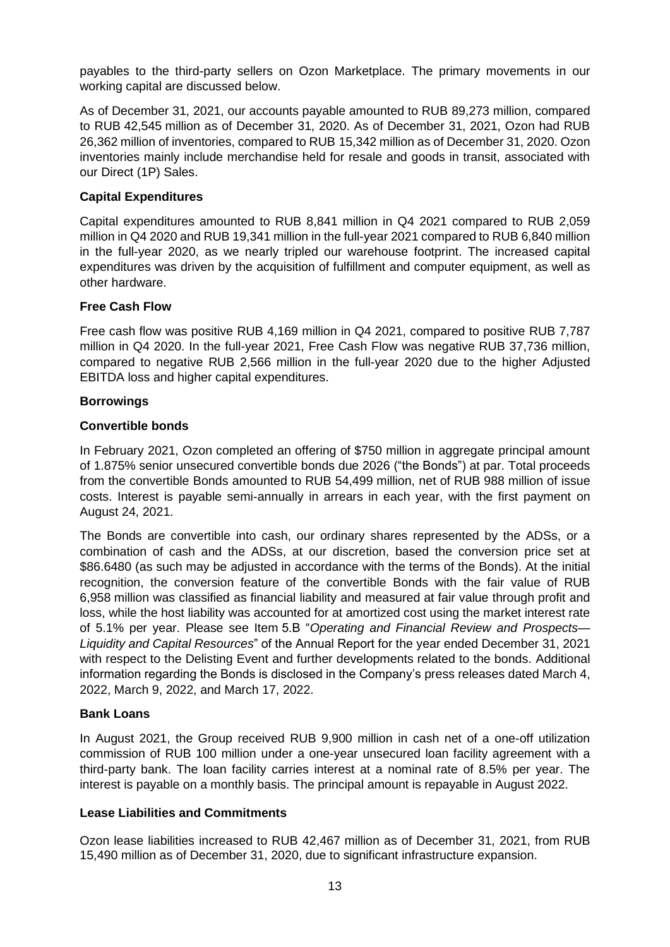payables to the third-party sellers on Ozon Marketplace. The primary movements in our working capital are discussed below.

As of December 31, 2021, our accounts payable amounted to RUB 89,273 million, compared to RUB 42,545 million as of December 31, 2020. As of December 31, 2021, Ozon had RUB 26,362 million of inventories, compared to RUB 15,342 million as of December 31, 2020. Ozon inventories mainly include merchandise held for resale and goods in transit, associated with our Direct (1P) Sales.

#### **Capital Expenditures**

Capital expenditures amounted to RUB 8,841 million in Q4 2021 compared to RUB 2,059 million in Q4 2020 and RUB 19,341 million in the full-year 2021 compared to RUB 6,840 million in the full-year 2020, as we nearly tripled our warehouse footprint. The increased capital expenditures was driven by the acquisition of fulfillment and computer equipment, as well as other hardware.

#### **Free Cash Flow**

Free cash flow was positive RUB 4,169 million in Q4 2021, compared to positive RUB 7,787 million in Q4 2020. In the full-year 2021, Free Cash Flow was negative RUB 37,736 million, compared to negative RUB 2,566 million in the full-year 2020 due to the higher Adjusted EBITDA loss and higher capital expenditures.

#### **Borrowings**

#### **Convertible bonds**

In February 2021, Ozon completed an offering of \$750 million in aggregate principal amount of 1.875% senior unsecured convertible bonds due 2026 ("the Bonds") at par. Total proceeds from the convertible Bonds amounted to RUB 54,499 million, net of RUB 988 million of issue costs. Interest is payable semi-annually in arrears in each year, with the first payment on August 24, 2021.

The Bonds are convertible into cash, our ordinary shares represented by the ADSs, or a combination of cash and the ADSs, at our discretion, based the conversion price set at \$86.6480 (as such may be adjusted in accordance with the terms of the Bonds). At the initial recognition, the conversion feature of the convertible Bonds with the fair value of RUB 6,958 million was classified as financial liability and measured at fair value through profit and loss, while the host liability was accounted for at amortized cost using the market interest rate of 5.1% per year. Please see Item 5.B "*Operating and Financial Review and Prospects— Liquidity and Capital Resources*" of the Annual Report for the year ended December 31, 2021 with respect to the Delisting Event and further developments related to the bonds. Additional information regarding the Bonds is disclosed in the Company's press releases dated March 4, 2022, March 9, 2022, and March 17, 2022.

#### **Bank Loans**

In August 2021, the Group received RUB 9,900 million in cash net of a one-off utilization commission of RUB 100 million under a one-year unsecured loan facility agreement with a third-party bank. The loan facility carries interest at a nominal rate of 8.5% per year. The interest is payable on a monthly basis. The principal amount is repayable in August 2022.

#### **Lease Liabilities and Commitments**

Ozon lease liabilities increased to RUB 42,467 million as of December 31, 2021, from RUB 15,490 million as of December 31, 2020, due to significant infrastructure expansion.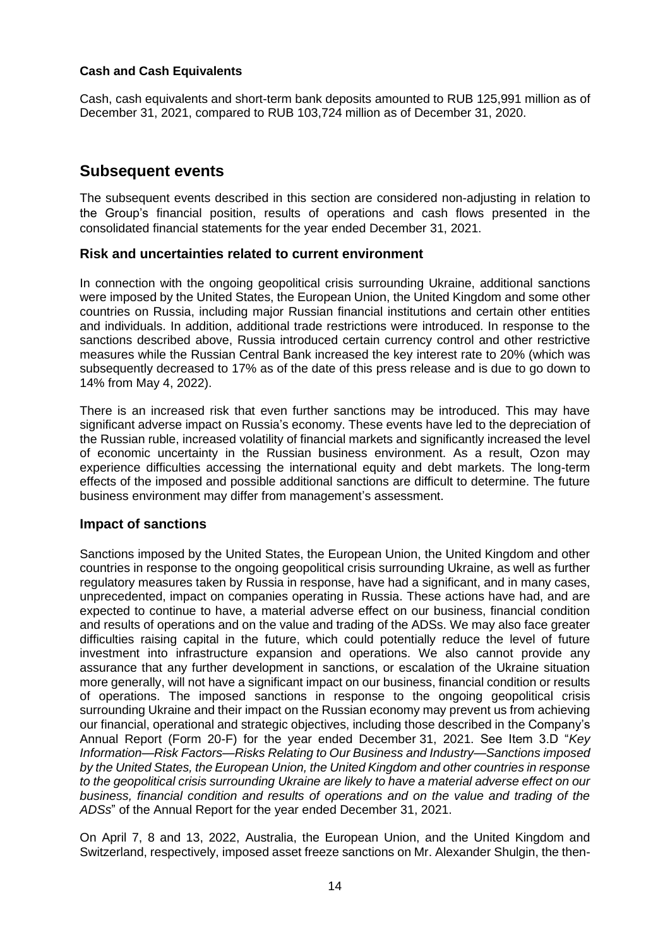#### **Cash and Cash Equivalents**

Cash, cash equivalents and short-term bank deposits amounted to RUB 125,991 million as of December 31, 2021, compared to RUB 103,724 million as of December 31, 2020.

## **Subsequent events**

The subsequent events described in this section are considered non-adjusting in relation to the Group's financial position, results of operations and cash flows presented in the consolidated financial statements for the year ended December 31, 2021.

#### **Risk and uncertainties related to current environment**

In connection with the ongoing geopolitical crisis surrounding Ukraine, additional sanctions were imposed by the United States, the European Union, the United Kingdom and some other countries on Russia, including major Russian financial institutions and certain other entities and individuals. In addition, additional trade restrictions were introduced. In response to the sanctions described above, Russia introduced certain currency control and other restrictive measures while the Russian Central Bank increased the key interest rate to 20% (which was subsequently decreased to 17% as of the date of this press release and is due to go down to 14% from May 4, 2022).

There is an increased risk that even further sanctions may be introduced. This may have significant adverse impact on Russia's economy. These events have led to the depreciation of the Russian ruble, increased volatility of financial markets and significantly increased the level of economic uncertainty in the Russian business environment. As a result, Ozon may experience difficulties accessing the international equity and debt markets. The long-term effects of the imposed and possible additional sanctions are difficult to determine. The future business environment may differ from management's assessment.

#### **Impact of sanctions**

Sanctions imposed by the United States, the European Union, the United Kingdom and other countries in response to the ongoing geopolitical crisis surrounding Ukraine, as well as further regulatory measures taken by Russia in response, have had a significant, and in many cases, unprecedented, impact on companies operating in Russia. These actions have had, and are expected to continue to have, a material adverse effect on our business, financial condition and results of operations and on the value and trading of the ADSs. We may also face greater difficulties raising capital in the future, which could potentially reduce the level of future investment into infrastructure expansion and operations. We also cannot provide any assurance that any further development in sanctions, or escalation of the Ukraine situation more generally, will not have a significant impact on our business, financial condition or results of operations. The imposed sanctions in response to the ongoing geopolitical crisis surrounding Ukraine and their impact on the Russian economy may prevent us from achieving our financial, operational and strategic objectives, including those described in the Company's Annual Report (Form 20-F) for the year ended December 31, 2021. See Item 3.D "*Key Information—Risk Factors—Risks Relating to Our Business and Industry—Sanctions imposed by the United States, the European Union, the United Kingdom and other countries in response to the geopolitical crisis surrounding Ukraine are likely to have a material adverse effect on our business, financial condition and results of operations and on the value and trading of the ADSs*" of the Annual Report for the year ended December 31, 2021.

On April 7, 8 and 13, 2022, Australia, the European Union, and the United Kingdom and Switzerland, respectively, imposed asset freeze sanctions on Mr. Alexander Shulgin, the then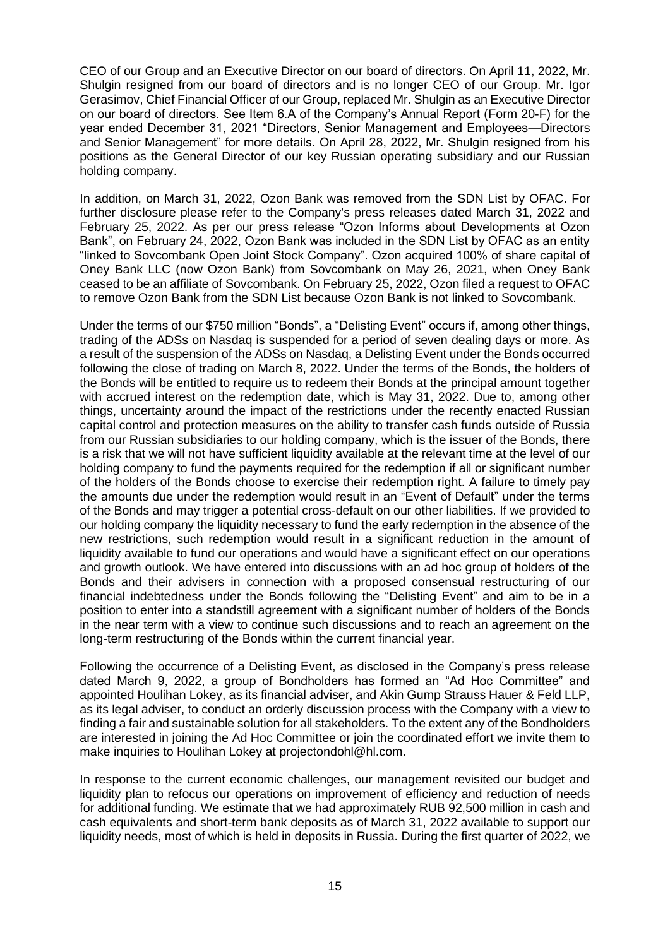CEO of our Group and an Executive Director on our board of directors. On April 11, 2022, Mr. Shulgin resigned from our board of directors and is no longer CEO of our Group. Mr. Igor Gerasimov, Chief Financial Officer of our Group, replaced Mr. Shulgin as an Executive Director on our board of directors. See Item 6.A of the Company's Annual Report (Form 20-F) for the year ended December 31, 2021 "Directors, Senior Management and Employees—Directors and Senior Management" for more details. On April 28, 2022, Mr. Shulgin resigned from his positions as the General Director of our key Russian operating subsidiary and our Russian holding company.

In addition, on March 31, 2022, Ozon Bank was removed from the SDN List by OFAC. For further disclosure please refer to the Company's press releases dated March 31, 2022 and February 25, 2022. As per our press release "Ozon Informs about Developments at Ozon Bank", on February 24, 2022, Ozon Bank was included in the SDN List by OFAC as an entity "linked to Sovcombank Open Joint Stock Company". Ozon acquired 100% of share capital of Oney Bank LLC (now Ozon Bank) from Sovcombank on May 26, 2021, when Oney Bank ceased to be an affiliate of Sovcombank. On February 25, 2022, Ozon filed a request to OFAC to remove Ozon Bank from the SDN List because Ozon Bank is not linked to Sovcombank.

Under the terms of our \$750 million "Bonds", a "Delisting Event" occurs if, among other things, trading of the ADSs on Nasdaq is suspended for a period of seven dealing days or more. As a result of the suspension of the ADSs on Nasdaq, a Delisting Event under the Bonds occurred following the close of trading on March 8, 2022. Under the terms of the Bonds, the holders of the Bonds will be entitled to require us to redeem their Bonds at the principal amount together with accrued interest on the redemption date, which is May 31, 2022. Due to, among other things, uncertainty around the impact of the restrictions under the recently enacted Russian capital control and protection measures on the ability to transfer cash funds outside of Russia from our Russian subsidiaries to our holding company, which is the issuer of the Bonds, there is a risk that we will not have sufficient liquidity available at the relevant time at the level of our holding company to fund the payments required for the redemption if all or significant number of the holders of the Bonds choose to exercise their redemption right. A failure to timely pay the amounts due under the redemption would result in an "Event of Default" under the terms of the Bonds and may trigger a potential cross-default on our other liabilities. If we provided to our holding company the liquidity necessary to fund the early redemption in the absence of the new restrictions, such redemption would result in a significant reduction in the amount of liquidity available to fund our operations and would have a significant effect on our operations and growth outlook. We have entered into discussions with an ad hoc group of holders of the Bonds and their advisers in connection with a proposed consensual restructuring of our financial indebtedness under the Bonds following the "Delisting Event" and aim to be in a position to enter into a standstill agreement with a significant number of holders of the Bonds in the near term with a view to continue such discussions and to reach an agreement on the long-term restructuring of the Bonds within the current financial year.

Following the occurrence of a Delisting Event, as disclosed in the Company's press release dated March 9, 2022, a group of Bondholders has formed an "Ad Hoc Committee" and appointed Houlihan Lokey, as its financial adviser, and Akin Gump Strauss Hauer & Feld LLP, as its legal adviser, to conduct an orderly discussion process with the Company with a view to finding a fair and sustainable solution for all stakeholders. To the extent any of the Bondholders are interested in joining the Ad Hoc Committee or join the coordinated effort we invite them to make inquiries to Houlihan Lokey at projectondohl@hl.com.

In response to the current economic challenges, our management revisited our budget and liquidity plan to refocus our operations on improvement of efficiency and reduction of needs for additional funding. We estimate that we had approximately RUB 92,500 million in cash and cash equivalents and short-term bank deposits as of March 31, 2022 available to support our liquidity needs, most of which is held in deposits in Russia. During the first quarter of 2022, we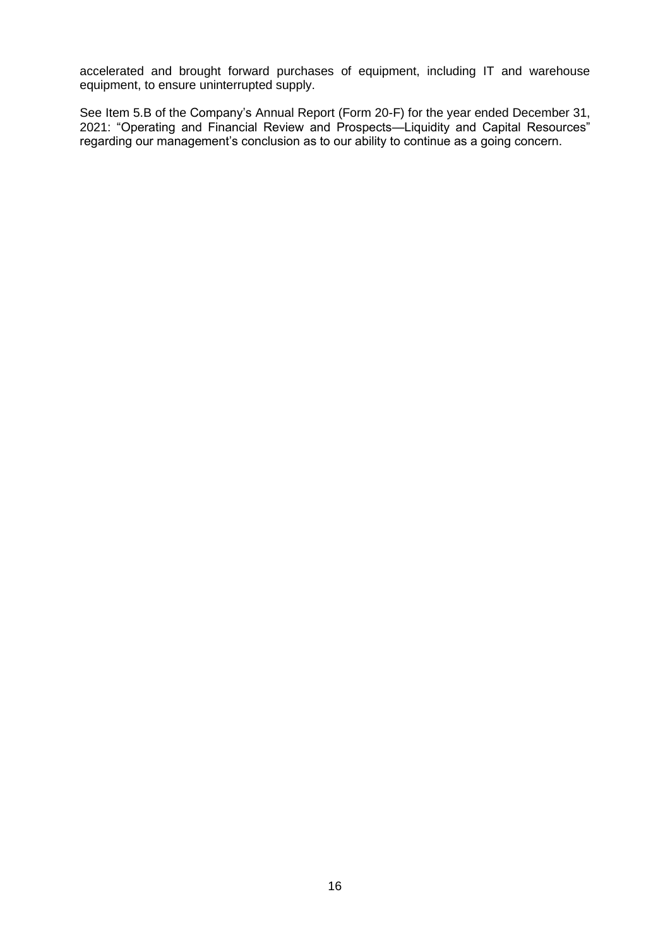accelerated and brought forward purchases of equipment, including IT and warehouse equipment, to ensure uninterrupted supply.

See Item 5.B of the Company's Annual Report (Form 20-F) for the year ended December 31, 2021: "Operating and Financial Review and Prospects—Liquidity and Capital Resources" regarding our management's conclusion as to our ability to continue as a going concern.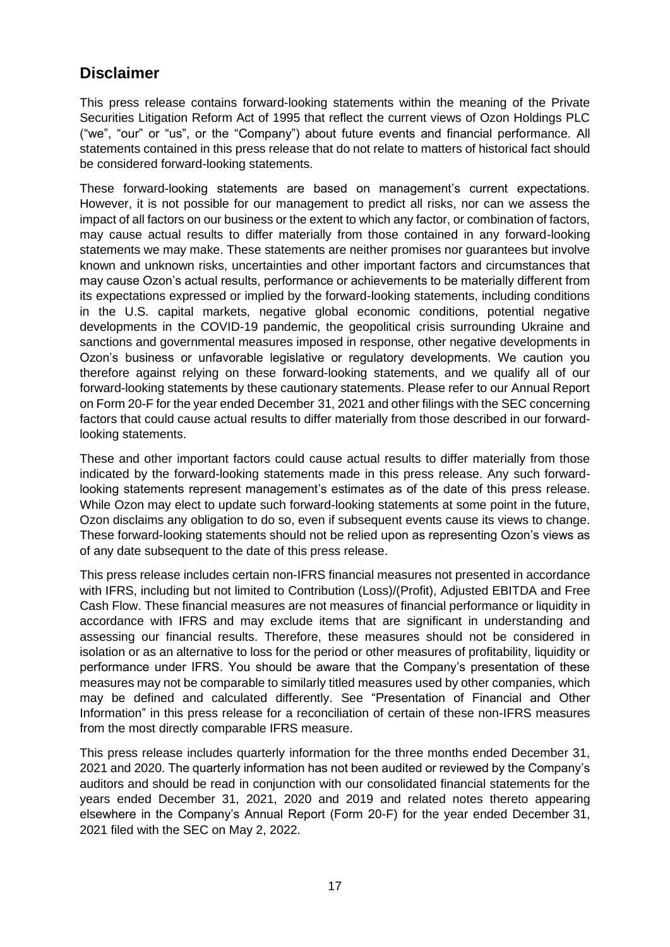## **Disclaimer**

This press release contains forward-looking statements within the meaning of the Private Securities Litigation Reform Act of 1995 that reflect the current views of Ozon Holdings PLC ("we", "our" or "us", or the "Company") about future events and financial performance. All statements contained in this press release that do not relate to matters of historical fact should be considered forward-looking statements.

These forward-looking statements are based on management's current expectations. However, it is not possible for our management to predict all risks, nor can we assess the impact of all factors on our business or the extent to which any factor, or combination of factors, may cause actual results to differ materially from those contained in any forward-looking statements we may make. These statements are neither promises nor guarantees but involve known and unknown risks, uncertainties and other important factors and circumstances that may cause Ozon's actual results, performance or achievements to be materially different from its expectations expressed or implied by the forward-looking statements, including conditions in the U.S. capital markets, negative global economic conditions, potential negative developments in the COVID-19 pandemic, the geopolitical crisis surrounding Ukraine and sanctions and governmental measures imposed in response, other negative developments in Ozon's business or unfavorable legislative or regulatory developments. We caution you therefore against relying on these forward-looking statements, and we qualify all of our forward-looking statements by these cautionary statements. Please refer to our Annual Report on Form 20-F for the year ended December 31, 2021 and other filings with the SEC concerning factors that could cause actual results to differ materially from those described in our forwardlooking statements.

These and other important factors could cause actual results to differ materially from those indicated by the forward-looking statements made in this press release. Any such forwardlooking statements represent management's estimates as of the date of this press release. While Ozon may elect to update such forward-looking statements at some point in the future, Ozon disclaims any obligation to do so, even if subsequent events cause its views to change. These forward-looking statements should not be relied upon as representing Ozon's views as of any date subsequent to the date of this press release.

This press release includes certain non-IFRS financial measures not presented in accordance with IFRS, including but not limited to Contribution (Loss)/(Profit), Adjusted EBITDA and Free Cash Flow. These financial measures are not measures of financial performance or liquidity in accordance with IFRS and may exclude items that are significant in understanding and assessing our financial results. Therefore, these measures should not be considered in isolation or as an alternative to loss for the period or other measures of profitability, liquidity or performance under IFRS. You should be aware that the Company's presentation of these measures may not be comparable to similarly titled measures used by other companies, which may be defined and calculated differently. See "Presentation of Financial and Other Information" in this press release for a reconciliation of certain of these non-IFRS measures from the most directly comparable IFRS measure.

This press release includes quarterly information for the three months ended December 31, 2021 and 2020. The quarterly information has not been audited or reviewed by the Company's auditors and should be read in conjunction with our consolidated financial statements for the years ended December 31, 2021, 2020 and 2019 and related notes thereto appearing elsewhere in the Company's Annual Report (Form 20-F) for the year ended December 31, 2021 filed with the SEC on May 2, 2022.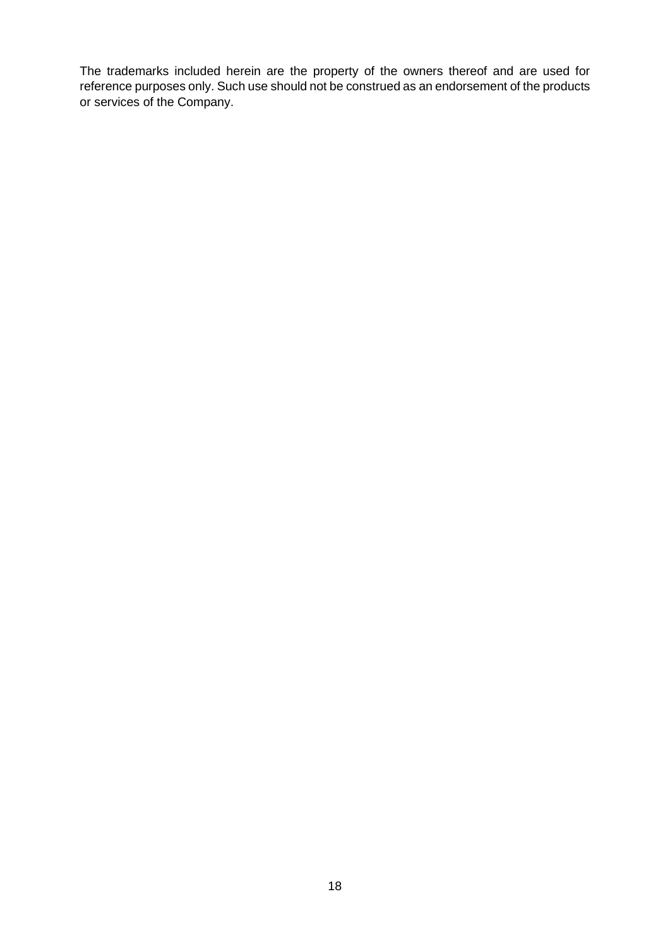The trademarks included herein are the property of the owners thereof and are used for reference purposes only. Such use should not be construed as an endorsement of the products or services of the Company.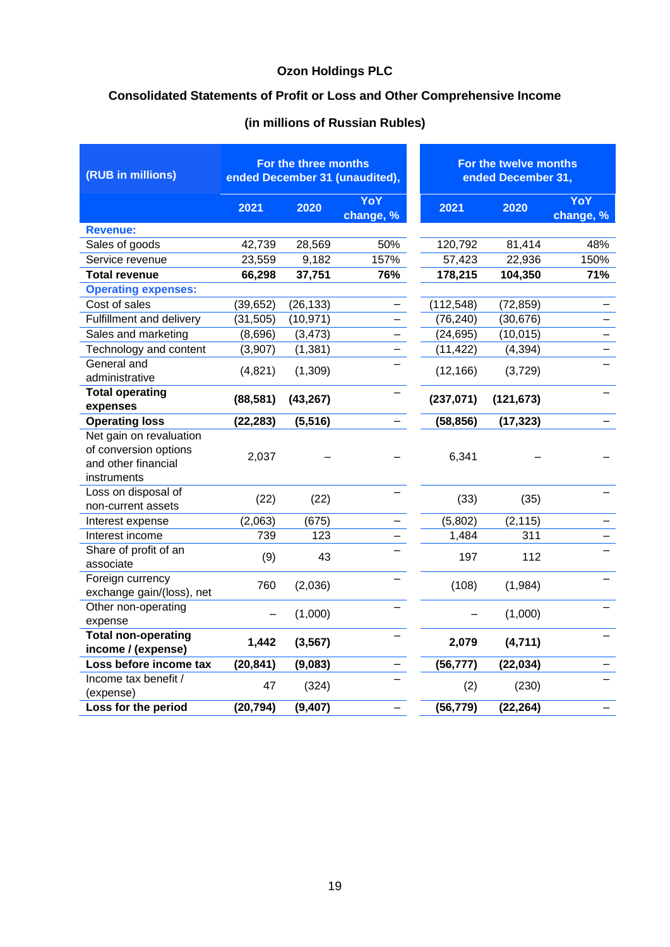## **Consolidated Statements of Profit or Loss and Other Comprehensive Income**

| (RUB in millions)                                                                      | For the three months<br>ended December 31 (unaudited), |           |                         | For the twelve months<br>ended December 31, |            |                  |
|----------------------------------------------------------------------------------------|--------------------------------------------------------|-----------|-------------------------|---------------------------------------------|------------|------------------|
|                                                                                        | 2021                                                   | 2020      | <b>YoY</b><br>change, % | 2021                                        | 2020       | YoY<br>change, % |
| <b>Revenue:</b>                                                                        |                                                        |           |                         |                                             |            |                  |
| Sales of goods                                                                         | 42,739                                                 | 28,569    | 50%                     | 120,792                                     | 81,414     | 48%              |
| Service revenue                                                                        | 23,559                                                 | 9,182     | 157%                    | 57,423                                      | 22,936     | 150%             |
| <b>Total revenue</b>                                                                   | 66,298                                                 | 37,751    | 76%                     | 178,215                                     | 104,350    | 71%              |
| <b>Operating expenses:</b>                                                             |                                                        |           |                         |                                             |            |                  |
| Cost of sales                                                                          | (39, 652)                                              | (26, 133) |                         | (112, 548)                                  | (72, 859)  |                  |
| Fulfillment and delivery                                                               | (31, 505)                                              | (10, 971) |                         | (76, 240)                                   | (30, 676)  |                  |
| Sales and marketing                                                                    | (8,696)                                                | (3, 473)  |                         | (24, 695)                                   | (10, 015)  |                  |
| Technology and content                                                                 | (3,907)                                                | (1, 381)  |                         | (11, 422)                                   | (4, 394)   |                  |
| General and<br>administrative                                                          | (4,821)                                                | (1,309)   |                         | (12, 166)                                   | (3,729)    |                  |
| <b>Total operating</b><br>expenses                                                     | (88, 581)                                              | (43, 267) |                         | (237, 071)                                  | (121, 673) |                  |
| <b>Operating loss</b>                                                                  | (22, 283)                                              | (5, 516)  |                         | (58, 856)                                   | (17, 323)  |                  |
| Net gain on revaluation<br>of conversion options<br>and other financial<br>instruments | 2,037                                                  |           |                         | 6,341                                       |            |                  |
| Loss on disposal of<br>non-current assets                                              | (22)                                                   | (22)      |                         | (33)                                        | (35)       |                  |
| Interest expense                                                                       | (2,063)                                                | (675)     |                         | (5,802)                                     | (2, 115)   |                  |
| Interest income                                                                        | 739                                                    | 123       |                         | 1,484                                       | 311        |                  |
| Share of profit of an<br>associate                                                     | (9)                                                    | 43        |                         | 197                                         | 112        |                  |
| Foreign currency<br>exchange gain/(loss), net                                          | 760                                                    | (2,036)   |                         | (108)                                       | (1,984)    |                  |
| Other non-operating<br>expense                                                         |                                                        | (1,000)   |                         |                                             | (1,000)    |                  |
| <b>Total non-operating</b><br>income / (expense)                                       | 1,442                                                  | (3, 567)  |                         | 2,079                                       | (4,711)    |                  |
| Loss before income tax                                                                 | (20, 841)                                              | (9,083)   |                         | (56, 777)                                   | (22, 034)  |                  |
| Income tax benefit /<br>(expense)                                                      | 47                                                     | (324)     |                         | (2)                                         | (230)      |                  |
| Loss for the period                                                                    | (20, 794)                                              | (9, 407)  |                         | (56, 779)                                   | (22, 264)  |                  |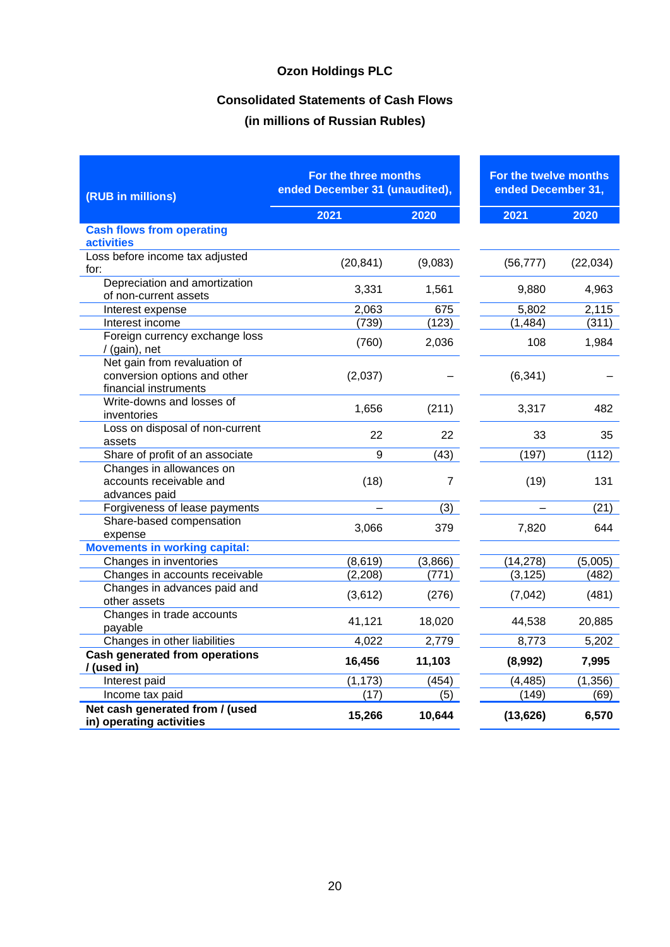## **Consolidated Statements of Cash Flows**

| (RUB in millions)                                                                     | For the three months<br>ended December 31 (unaudited), |                | For the twelve months<br>ended December 31, |           |
|---------------------------------------------------------------------------------------|--------------------------------------------------------|----------------|---------------------------------------------|-----------|
|                                                                                       | 2021                                                   | 2020           | 2021                                        | 2020      |
| <b>Cash flows from operating</b><br><b>activities</b>                                 |                                                        |                |                                             |           |
| Loss before income tax adjusted<br>for:                                               | (20, 841)                                              | (9,083)        | (56, 777)                                   | (22, 034) |
| Depreciation and amortization<br>of non-current assets                                | 3,331                                                  | 1,561          | 9,880                                       | 4,963     |
| Interest expense                                                                      | 2,063                                                  | 675            | 5,802                                       | 2,115     |
| Interest income                                                                       | (739)                                                  | (123)          | (1, 484)                                    | (311)     |
| Foreign currency exchange loss<br>/ (gain), net                                       | (760)                                                  | 2,036          | 108                                         | 1,984     |
| Net gain from revaluation of<br>conversion options and other<br>financial instruments | (2,037)                                                |                | (6, 341)                                    |           |
| Write-downs and losses of<br>inventories                                              | 1,656                                                  | (211)          | 3,317                                       | 482       |
| Loss on disposal of non-current<br>assets                                             | 22                                                     | 22             | 33                                          | 35        |
| Share of profit of an associate                                                       | 9                                                      | (43)           | (197)                                       | (112)     |
| Changes in allowances on<br>accounts receivable and<br>advances paid                  | (18)                                                   | $\overline{7}$ | (19)                                        | 131       |
| Forgiveness of lease payments                                                         |                                                        | (3)            |                                             | (21)      |
| Share-based compensation<br>expense                                                   | 3,066                                                  | 379            | 7,820                                       | 644       |
| <b>Movements in working capital:</b>                                                  |                                                        |                |                                             |           |
| Changes in inventories                                                                | (8,619)                                                | (3,866)        | (14, 278)                                   | (5,005)   |
| Changes in accounts receivable                                                        | (2, 208)                                               | (771)          | (3, 125)                                    | (482)     |
| Changes in advances paid and<br>other assets                                          | (3,612)                                                | (276)          | (7,042)                                     | (481)     |
| Changes in trade accounts<br>payable                                                  | 41,121                                                 | 18,020         | 44,538                                      | 20,885    |
| Changes in other liabilities                                                          | 4,022                                                  | 2,779          | 8,773                                       | 5,202     |
| <b>Cash generated from operations</b><br>/ (used in)                                  | 16,456                                                 | 11,103         | (8,992)                                     | 7,995     |
| Interest paid                                                                         | (1, 173)                                               | (454)          | (4, 485)                                    | (1, 356)  |
| Income tax paid                                                                       | (17)                                                   | (5)            | (149)                                       | (69)      |
| Net cash generated from / (used<br>in) operating activities                           | 15,266                                                 | 10,644         | (13, 626)                                   | 6,570     |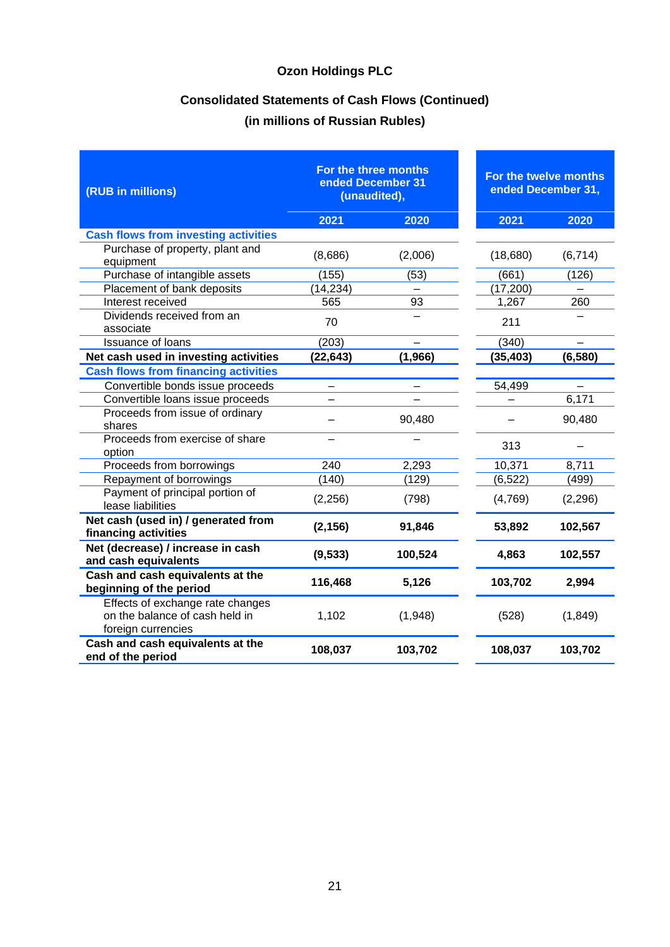## **Consolidated Statements of Cash Flows (Continued)**

| (RUB in millions)                                                                        | For the three months<br>ended December 31<br>(unaudited), |          |           | For the twelve months<br>ended December 31, |  |  |
|------------------------------------------------------------------------------------------|-----------------------------------------------------------|----------|-----------|---------------------------------------------|--|--|
|                                                                                          | 2021                                                      | 2020     | 2021      | 2020                                        |  |  |
| <b>Cash flows from investing activities</b>                                              |                                                           |          |           |                                             |  |  |
| Purchase of property, plant and<br>equipment                                             | (8,686)                                                   | (2,006)  | (18,680)  | (6, 714)                                    |  |  |
| Purchase of intangible assets                                                            | (155)                                                     | (53)     | (661)     | (126)                                       |  |  |
| Placement of bank deposits                                                               | (14, 234)                                                 |          | (17, 200) |                                             |  |  |
| Interest received                                                                        | 565                                                       | 93       | 1,267     | 260                                         |  |  |
| Dividends received from an<br>associate                                                  | 70                                                        |          | 211       |                                             |  |  |
| <b>Issuance of loans</b>                                                                 | (203)                                                     |          | (340)     |                                             |  |  |
| Net cash used in investing activities                                                    | (22, 643)                                                 | (1, 966) | (35, 403) | (6, 580)                                    |  |  |
| <b>Cash flows from financing activities</b>                                              |                                                           |          |           |                                             |  |  |
| Convertible bonds issue proceeds                                                         |                                                           |          | 54,499    |                                             |  |  |
| Convertible loans issue proceeds                                                         |                                                           |          |           | 6,171                                       |  |  |
| Proceeds from issue of ordinary<br>shares                                                |                                                           | 90,480   |           | 90,480                                      |  |  |
| Proceeds from exercise of share<br>option                                                |                                                           |          | 313       |                                             |  |  |
| Proceeds from borrowings                                                                 | 240                                                       | 2,293    | 10,371    | 8,711                                       |  |  |
| Repayment of borrowings                                                                  | (140)                                                     | (129)    | (6, 522)  | (499)                                       |  |  |
| Payment of principal portion of<br>lease liabilities                                     | (2, 256)                                                  | (798)    | (4,769)   | (2, 296)                                    |  |  |
| Net cash (used in) / generated from<br>financing activities                              | (2, 156)                                                  | 91,846   | 53,892    | 102,567                                     |  |  |
| Net (decrease) / increase in cash<br>and cash equivalents                                | (9, 533)                                                  | 100,524  | 4,863     | 102,557                                     |  |  |
| Cash and cash equivalents at the<br>beginning of the period                              | 116,468                                                   | 5,126    | 103,702   | 2,994                                       |  |  |
| Effects of exchange rate changes<br>on the balance of cash held in<br>foreign currencies | 1,102                                                     | (1,948)  | (528)     | (1, 849)                                    |  |  |
| Cash and cash equivalents at the<br>end of the period                                    | 108,037                                                   | 103,702  | 108,037   | 103,702                                     |  |  |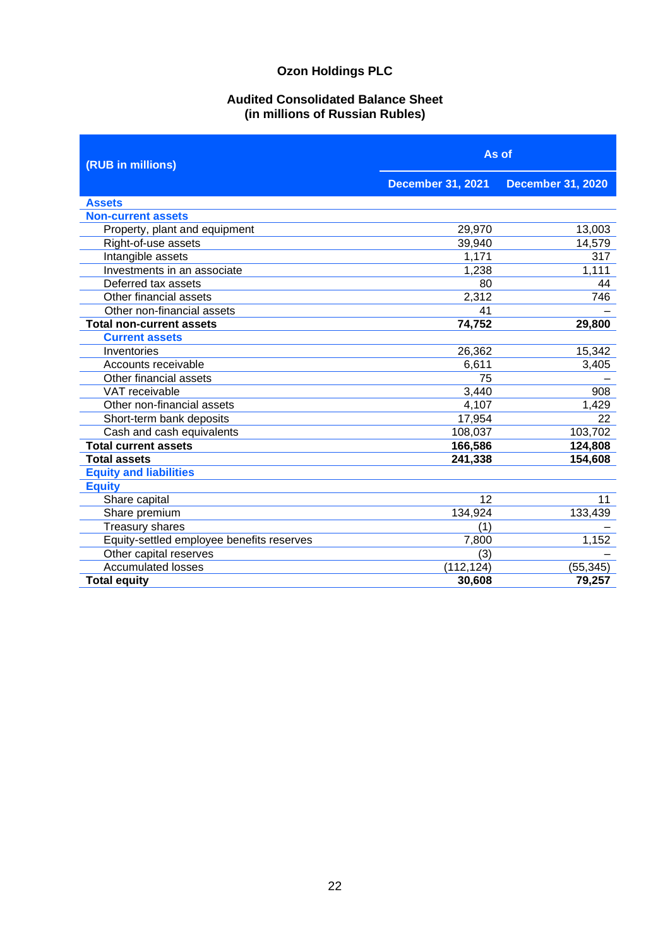### **Audited Consolidated Balance Sheet (in millions of Russian Rubles)**

| (RUB in millions)                         | As of                    |                          |  |  |
|-------------------------------------------|--------------------------|--------------------------|--|--|
|                                           | <b>December 31, 2021</b> | <b>December 31, 2020</b> |  |  |
| <b>Assets</b>                             |                          |                          |  |  |
| <b>Non-current assets</b>                 |                          |                          |  |  |
| Property, plant and equipment             | 29,970                   | 13,003                   |  |  |
| Right-of-use assets                       | 39,940                   | 14,579                   |  |  |
| Intangible assets                         | 1,171                    | 317                      |  |  |
| Investments in an associate               | 1,238                    | 1,111                    |  |  |
| Deferred tax assets                       | 80                       | 44                       |  |  |
| Other financial assets                    | 2,312                    | 746                      |  |  |
| Other non-financial assets                | 41                       |                          |  |  |
| <b>Total non-current assets</b>           | 74,752                   | 29,800                   |  |  |
| <b>Current assets</b>                     |                          |                          |  |  |
| Inventories                               | 26,362                   | 15,342                   |  |  |
| Accounts receivable                       | 6,611                    | 3,405                    |  |  |
| Other financial assets                    | 75                       |                          |  |  |
| VAT receivable                            | 3,440                    | 908                      |  |  |
| Other non-financial assets                | 4,107                    | 1,429                    |  |  |
| Short-term bank deposits                  | 17,954                   | 22                       |  |  |
| Cash and cash equivalents                 | 108,037                  | 103,702                  |  |  |
| <b>Total current assets</b>               | 166,586                  | 124,808                  |  |  |
| <b>Total assets</b>                       | 241,338                  | 154,608                  |  |  |
| <b>Equity and liabilities</b>             |                          |                          |  |  |
| <b>Equity</b>                             |                          |                          |  |  |
| Share capital                             | 12                       | 11                       |  |  |
| Share premium                             | 134,924                  | 133,439                  |  |  |
| <b>Treasury shares</b>                    | (1)                      |                          |  |  |
| Equity-settled employee benefits reserves | 7,800                    | 1,152                    |  |  |
| Other capital reserves                    | (3)                      |                          |  |  |
| <b>Accumulated losses</b>                 | (112, 124)               | (55, 345)                |  |  |
| <b>Total equity</b>                       | 30,608                   | 79,257                   |  |  |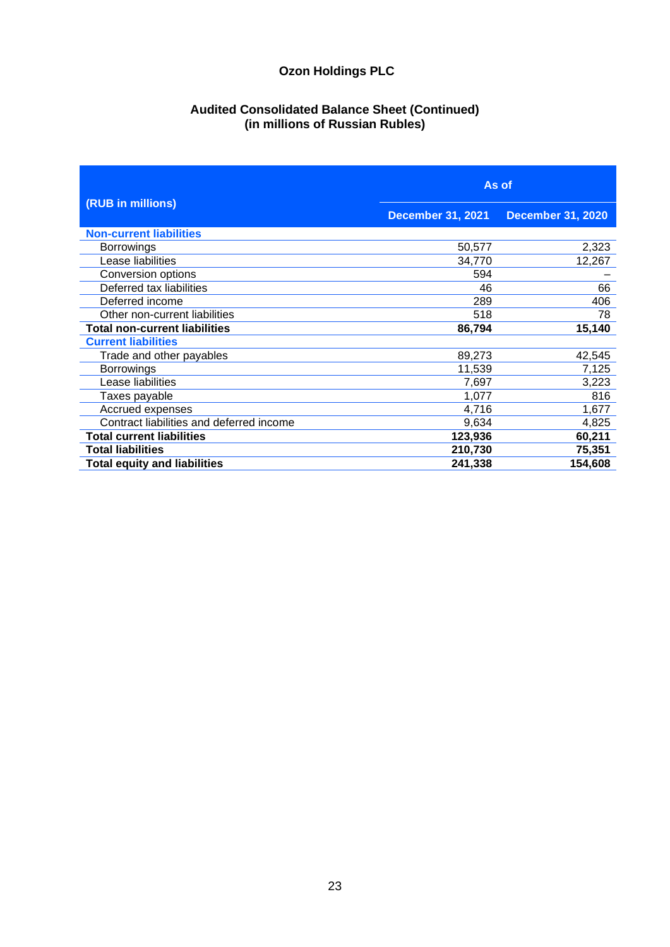#### **Audited Consolidated Balance Sheet (Continued) (in millions of Russian Rubles)**

|                                          | As of                    |                          |  |  |
|------------------------------------------|--------------------------|--------------------------|--|--|
| (RUB in millions)                        | <b>December 31, 2021</b> | <b>December 31, 2020</b> |  |  |
| <b>Non-current liabilities</b>           |                          |                          |  |  |
| <b>Borrowings</b>                        | 50,577                   | 2,323                    |  |  |
| Lease liabilities                        | 34,770                   | 12,267                   |  |  |
| Conversion options                       | 594                      |                          |  |  |
| Deferred tax liabilities                 | 46                       | 66                       |  |  |
| Deferred income                          | 289                      | 406                      |  |  |
| Other non-current liabilities            | 518                      | 78                       |  |  |
| <b>Total non-current liabilities</b>     | 86,794                   | 15,140                   |  |  |
| <b>Current liabilities</b>               |                          |                          |  |  |
| Trade and other payables                 | 89,273                   | 42,545                   |  |  |
| <b>Borrowings</b>                        | 11,539                   | 7,125                    |  |  |
| Lease liabilities                        | 7,697                    | 3,223                    |  |  |
| Taxes payable                            | 1,077                    | 816                      |  |  |
| Accrued expenses                         | 4,716                    | 1,677                    |  |  |
| Contract liabilities and deferred income | 9,634                    | 4,825                    |  |  |
| <b>Total current liabilities</b>         | 123,936                  | 60,211                   |  |  |
| <b>Total liabilities</b>                 | 210,730                  | 75,351                   |  |  |
| <b>Total equity and liabilities</b>      | 241,338                  | 154,608                  |  |  |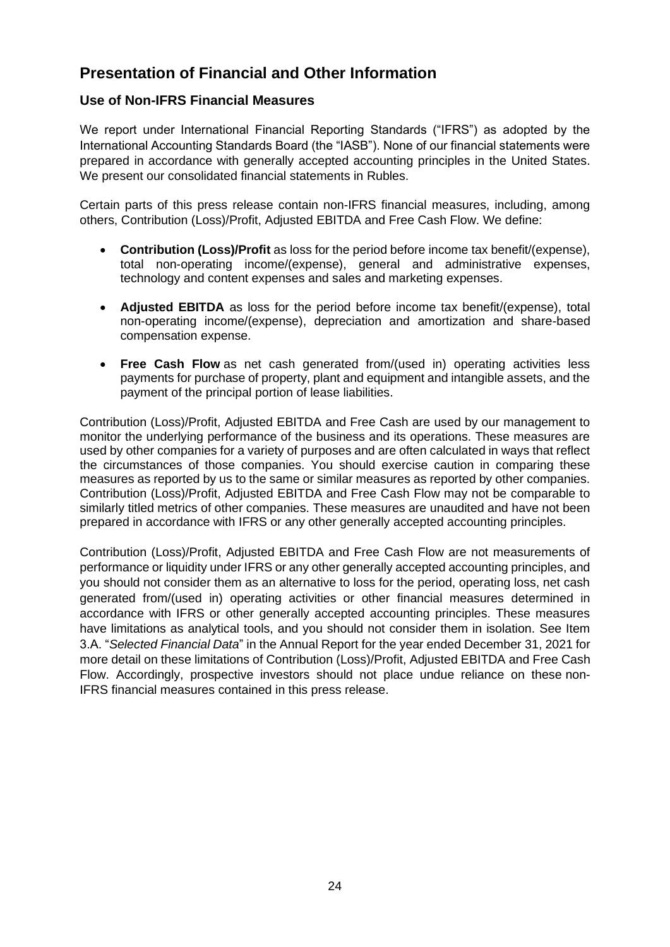## **Presentation of Financial and Other Information**

### **Use of Non-IFRS Financial Measures**

We report under International Financial Reporting Standards ("IFRS") as adopted by the International Accounting Standards Board (the "IASB"). None of our financial statements were prepared in accordance with generally accepted accounting principles in the United States. We present our consolidated financial statements in Rubles.

Certain parts of this press release contain non-IFRS financial measures, including, among others, Contribution (Loss)/Profit, Adjusted EBITDA and Free Cash Flow. We define:

- **Contribution (Loss)/Profit** as loss for the period before income tax benefit/(expense), total non-operating income/(expense), general and administrative expenses, technology and content expenses and sales and marketing expenses.
- **Adjusted EBITDA** as loss for the period before income tax benefit/(expense), total non-operating income/(expense), depreciation and amortization and share-based compensation expense.
- **Free Cash Flow** as net cash generated from/(used in) operating activities less payments for purchase of property, plant and equipment and intangible assets, and the payment of the principal portion of lease liabilities.

Contribution (Loss)/Profit, Adjusted EBITDA and Free Cash are used by our management to monitor the underlying performance of the business and its operations. These measures are used by other companies for a variety of purposes and are often calculated in ways that reflect the circumstances of those companies. You should exercise caution in comparing these measures as reported by us to the same or similar measures as reported by other companies. Contribution (Loss)/Profit, Adjusted EBITDA and Free Cash Flow may not be comparable to similarly titled metrics of other companies. These measures are unaudited and have not been prepared in accordance with IFRS or any other generally accepted accounting principles.

Contribution (Loss)/Profit, Adjusted EBITDA and Free Cash Flow are not measurements of performance or liquidity under IFRS or any other generally accepted accounting principles, and you should not consider them as an alternative to loss for the period, operating loss, net cash generated from/(used in) operating activities or other financial measures determined in accordance with IFRS or other generally accepted accounting principles. These measures have limitations as analytical tools, and you should not consider them in isolation. See Item 3.A. "*Selected Financial Data*" in the Annual Report for the year ended December 31, 2021 for more detail on these limitations of Contribution (Loss)/Profit, Adjusted EBITDA and Free Cash Flow. Accordingly, prospective investors should not place undue reliance on these non-IFRS financial measures contained in this press release.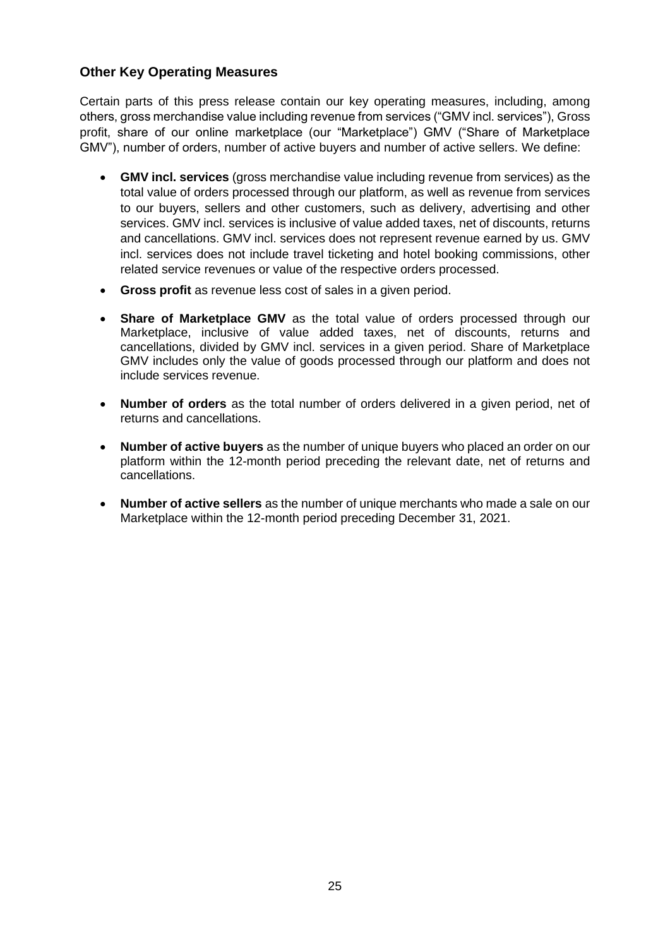### **Other Key Operating Measures**

Certain parts of this press release contain our key operating measures, including, among others, gross merchandise value including revenue from services ("GMV incl. services"), Gross profit, share of our online marketplace (our "Marketplace") GMV ("Share of Marketplace GMV"), number of orders, number of active buyers and number of active sellers. We define:

- **GMV incl. services** (gross merchandise value including revenue from services) as the total value of orders processed through our platform, as well as revenue from services to our buyers, sellers and other customers, such as delivery, advertising and other services. GMV incl. services is inclusive of value added taxes, net of discounts, returns and cancellations. GMV incl. services does not represent revenue earned by us. GMV incl. services does not include travel ticketing and hotel booking commissions, other related service revenues or value of the respective orders processed.
- **Gross profit** as revenue less cost of sales in a given period.
- **Share of Marketplace GMV** as the total value of orders processed through our Marketplace, inclusive of value added taxes, net of discounts, returns and cancellations, divided by GMV incl. services in a given period. Share of Marketplace GMV includes only the value of goods processed through our platform and does not include services revenue.
- **Number of orders** as the total number of orders delivered in a given period, net of returns and cancellations.
- **Number of active buyers** as the number of unique buyers who placed an order on our platform within the 12-month period preceding the relevant date, net of returns and cancellations.
- **Number of active sellers** as the number of unique merchants who made a sale on our Marketplace within the 12-month period preceding December 31, 2021.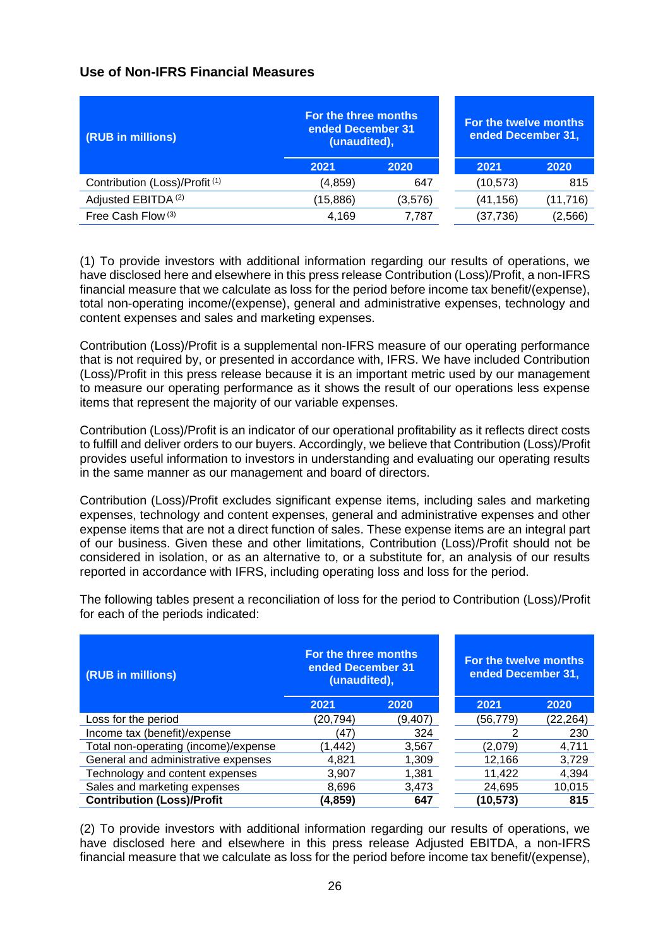### **Use of Non-IFRS Financial Measures**

| (RUB in millions)                         | For the three months<br>ended December 31<br>(unaudited), |         | For the twelve months<br>ended December 31, |           |
|-------------------------------------------|-----------------------------------------------------------|---------|---------------------------------------------|-----------|
|                                           | 2021                                                      | 2020    | 2021                                        | 2020      |
| Contribution (Loss)/Profit <sup>(1)</sup> | (4, 859)                                                  | 647     | (10, 573)                                   | 815       |
| Adjusted EBITDA <sup>(2)</sup>            | (15,886)                                                  | (3,576) | (41,156)                                    | (11, 716) |
| Free Cash Flow <sup>(3)</sup>             | 4.169                                                     | 7.787   | (37,736)                                    | (2,566)   |

(1) To provide investors with additional information regarding our results of operations, we have disclosed here and elsewhere in this press release Contribution (Loss)/Profit, a non-IFRS financial measure that we calculate as loss for the period before income tax benefit/(expense), total non-operating income/(expense), general and administrative expenses, technology and content expenses and sales and marketing expenses.

Contribution (Loss)/Profit is a supplemental non-IFRS measure of our operating performance that is not required by, or presented in accordance with, IFRS. We have included Contribution (Loss)/Profit in this press release because it is an important metric used by our management to measure our operating performance as it shows the result of our operations less expense items that represent the majority of our variable expenses.

Contribution (Loss)/Profit is an indicator of our operational profitability as it reflects direct costs to fulfill and deliver orders to our buyers. Accordingly, we believe that Contribution (Loss)/Profit provides useful information to investors in understanding and evaluating our operating results in the same manner as our management and board of directors.

Contribution (Loss)/Profit excludes significant expense items, including sales and marketing expenses, technology and content expenses, general and administrative expenses and other expense items that are not a direct function of sales. These expense items are an integral part of our business. Given these and other limitations, Contribution (Loss)/Profit should not be considered in isolation, or as an alternative to, or a substitute for, an analysis of our results reported in accordance with IFRS, including operating loss and loss for the period.

| (RUB in millions)                    | For the three months<br>ended December 31<br>(unaudited), |          | For the twelve months<br>ended December 31, |           |  |
|--------------------------------------|-----------------------------------------------------------|----------|---------------------------------------------|-----------|--|
|                                      | 2021                                                      | 2020     | 2021                                        | 2020      |  |
| Loss for the period                  | (20,794)                                                  | (9, 407) | (56,779)                                    | (22, 264) |  |
| Income tax (benefit)/expense         | (47                                                       | 324      | ົ                                           | 230       |  |
| Total non-operating (income)/expense | (1.442)                                                   | 3,567    | (2,079)                                     | 4,711     |  |
| General and administrative expenses  | 4,821                                                     | 1,309    | 12,166                                      | 3,729     |  |
| Technology and content expenses      | 3,907                                                     | 1,381    | 11,422                                      | 4,394     |  |
| Sales and marketing expenses         | 8,696                                                     | 3,473    | 24,695                                      | 10,015    |  |
| <b>Contribution (Loss)/Profit</b>    | (4,859)                                                   | 647      | (10, 573)                                   | 815       |  |

The following tables present a reconciliation of loss for the period to Contribution (Loss)/Profit for each of the periods indicated:

(2) To provide investors with additional information regarding our results of operations, we have disclosed here and elsewhere in this press release Adjusted EBITDA, a non-IFRS financial measure that we calculate as loss for the period before income tax benefit/(expense),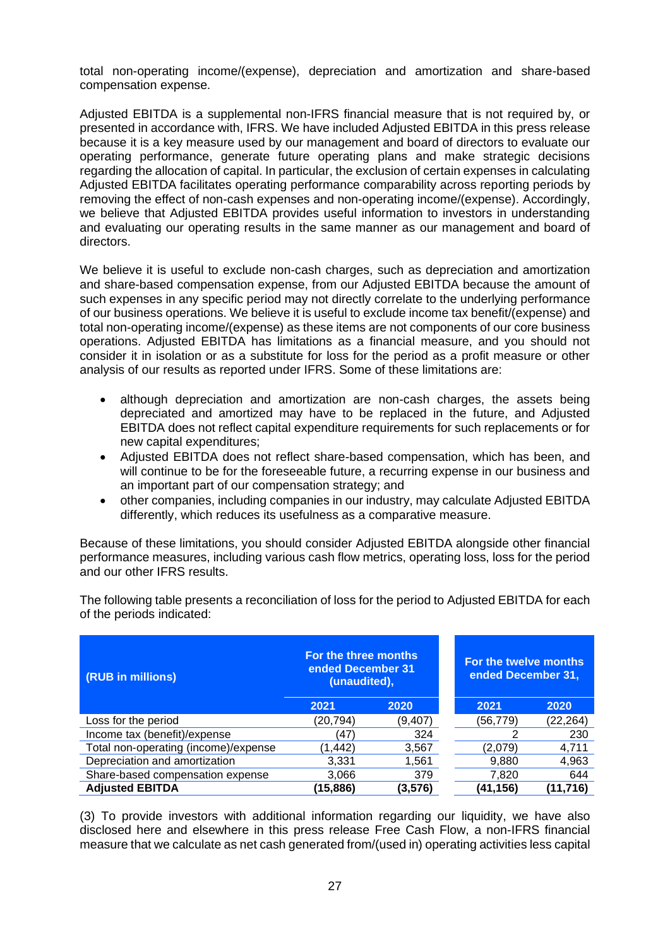total non-operating income/(expense), depreciation and amortization and share-based compensation expense.

Adjusted EBITDA is a supplemental non-IFRS financial measure that is not required by, or presented in accordance with, IFRS. We have included Adjusted EBITDA in this press release because it is a key measure used by our management and board of directors to evaluate our operating performance, generate future operating plans and make strategic decisions regarding the allocation of capital. In particular, the exclusion of certain expenses in calculating Adjusted EBITDA facilitates operating performance comparability across reporting periods by removing the effect of non-cash expenses and non-operating income/(expense). Accordingly, we believe that Adjusted EBITDA provides useful information to investors in understanding and evaluating our operating results in the same manner as our management and board of directors.

We believe it is useful to exclude non-cash charges, such as depreciation and amortization and share-based compensation expense, from our Adjusted EBITDA because the amount of such expenses in any specific period may not directly correlate to the underlying performance of our business operations. We believe it is useful to exclude income tax benefit/(expense) and total non-operating income/(expense) as these items are not components of our core business operations. Adjusted EBITDA has limitations as a financial measure, and you should not consider it in isolation or as a substitute for loss for the period as a profit measure or other analysis of our results as reported under IFRS. Some of these limitations are:

- although depreciation and amortization are non-cash charges, the assets being depreciated and amortized may have to be replaced in the future, and Adjusted EBITDA does not reflect capital expenditure requirements for such replacements or for new capital expenditures;
- Adjusted EBITDA does not reflect share-based compensation, which has been, and will continue to be for the foreseeable future, a recurring expense in our business and an important part of our compensation strategy; and
- other companies, including companies in our industry, may calculate Adjusted EBITDA differently, which reduces its usefulness as a comparative measure.

Because of these limitations, you should consider Adjusted EBITDA alongside other financial performance measures, including various cash flow metrics, operating loss, loss for the period and our other IFRS results.

| (RUB in millions)                    | For the three months<br>ended December 31<br>(unaudited), |          | For the twelve months<br>ended December 31, |          |
|--------------------------------------|-----------------------------------------------------------|----------|---------------------------------------------|----------|
|                                      | 2021                                                      | 2020     | 2021                                        | 2020     |
| Loss for the period                  | (20,794)                                                  | (9,407)  | (56,779)                                    | (22,264) |
| Income tax (benefit)/expense         | (47)                                                      | 324      |                                             | 230      |
| Total non-operating (income)/expense | (1, 442)                                                  | 3,567    | (2,079)                                     | 4,711    |
| Depreciation and amortization        | 3,331                                                     | 1,561    | 9,880                                       | 4,963    |
| Share-based compensation expense     | 3,066                                                     | 379      | 7,820                                       | 644      |
| <b>Adjusted EBITDA</b>               | (15, 886)                                                 | (3, 576) | (41,156)                                    | (11,716) |

The following table presents a reconciliation of loss for the period to Adjusted EBITDA for each of the periods indicated:

(3) To provide investors with additional information regarding our liquidity, we have also disclosed here and elsewhere in this press release Free Cash Flow, a non-IFRS financial measure that we calculate as net cash generated from/(used in) operating activities less capital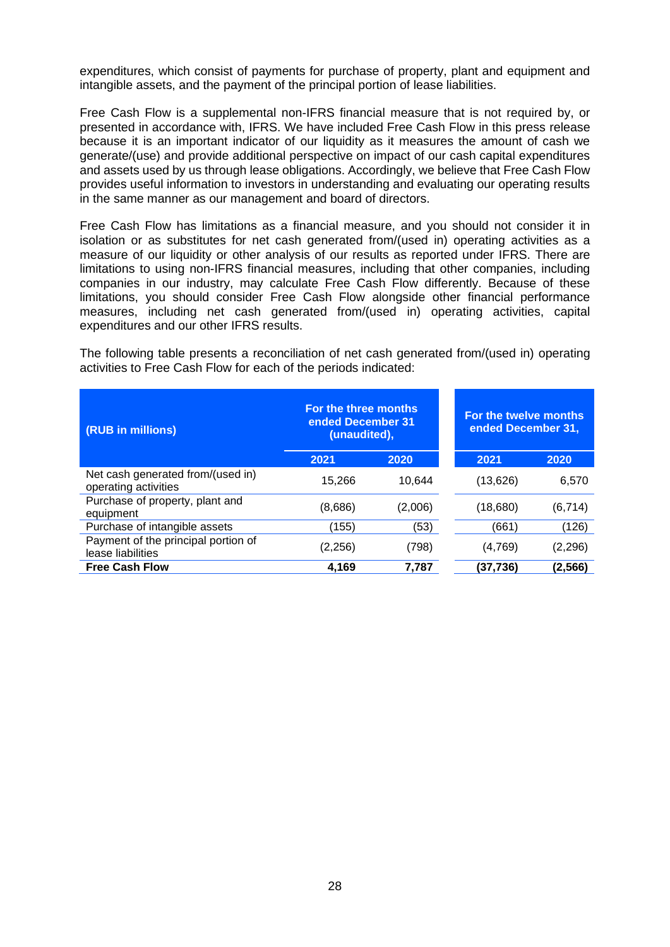expenditures, which consist of payments for purchase of property, plant and equipment and intangible assets, and the payment of the principal portion of lease liabilities.

Free Cash Flow is a supplemental non-IFRS financial measure that is not required by, or presented in accordance with, IFRS. We have included Free Cash Flow in this press release because it is an important indicator of our liquidity as it measures the amount of cash we generate/(use) and provide additional perspective on impact of our cash capital expenditures and assets used by us through lease obligations. Accordingly, we believe that Free Cash Flow provides useful information to investors in understanding and evaluating our operating results in the same manner as our management and board of directors.

Free Cash Flow has limitations as a financial measure, and you should not consider it in isolation or as substitutes for net cash generated from/(used in) operating activities as a measure of our liquidity or other analysis of our results as reported under IFRS. There are limitations to using non-IFRS financial measures, including that other companies, including companies in our industry, may calculate Free Cash Flow differently. Because of these limitations, you should consider Free Cash Flow alongside other financial performance measures, including net cash generated from/(used in) operating activities, capital expenditures and our other IFRS results.

The following table presents a reconciliation of net cash generated from/(used in) operating activities to Free Cash Flow for each of the periods indicated:

| (RUB in millions)                                         | For the three months<br>ended December 31<br>(unaudited), |         | For the twelve months<br>ended December 31, |          |
|-----------------------------------------------------------|-----------------------------------------------------------|---------|---------------------------------------------|----------|
|                                                           | 2021                                                      | 2020    | 2021                                        | 2020     |
| Net cash generated from/(used in)<br>operating activities | 15,266                                                    | 10.644  | (13, 626)                                   | 6,570    |
| Purchase of property, plant and<br>equipment              | (8,686)                                                   | (2,006) | (18,680)                                    | (6, 714) |
| Purchase of intangible assets                             | (155)                                                     | (53)    | (661`                                       | (126)    |
| Payment of the principal portion of<br>lease liabilities  | (2,256)                                                   | (798)   | (4,769)                                     | (2,296)  |
| <b>Free Cash Flow</b>                                     | 4.169                                                     | 7.787   | (37,736)                                    | (2,566)  |